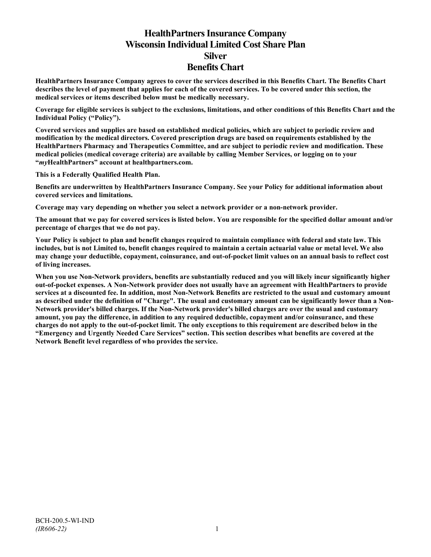# **HealthPartners Insurance Company Wisconsin Individual Limited Cost Share Plan Silver Benefits Chart**

**HealthPartners Insurance Company agrees to cover the services described in this Benefits Chart. The Benefits Chart describes the level of payment that applies for each of the covered services. To be covered under this section, the medical services or items described below must be medically necessary.**

**Coverage for eligible services is subject to the exclusions, limitations, and other conditions of this Benefits Chart and the Individual Policy ("Policy").**

**Covered services and supplies are based on established medical policies, which are subject to periodic review and modification by the medical directors. Covered prescription drugs are based on requirements established by the HealthPartners Pharmacy and Therapeutics Committee, and are subject to periodic review and modification. These medical policies (medical coverage criteria) are available by calling Member Services, or logging on to your "***my***HealthPartners" account at [healthpartners.com.](http://www.healthpartners.com/)**

**This is a Federally Qualified Health Plan.**

**Benefits are underwritten by HealthPartners Insurance Company. See your Policy for additional information about covered services and limitations.**

**Coverage may vary depending on whether you select a network provider or a non-network provider.**

**The amount that we pay for covered services is listed below. You are responsible for the specified dollar amount and/or percentage of charges that we do not pay.**

**Your Policy is subject to plan and benefit changes required to maintain compliance with federal and state law. This includes, but is not Limited to, benefit changes required to maintain a certain actuarial value or metal level. We also may change your deductible, copayment, coinsurance, and out-of-pocket limit values on an annual basis to reflect cost of living increases.**

**When you use Non-Network providers, benefits are substantially reduced and you will likely incur significantly higher out-of-pocket expenses. A Non-Network provider does not usually have an agreement with HealthPartners to provide services at a discounted fee. In addition, most Non-Network Benefits are restricted to the usual and customary amount as described under the definition of "Charge". The usual and customary amount can be significantly lower than a Non-Network provider's billed charges. If the Non-Network provider's billed charges are over the usual and customary amount, you pay the difference, in addition to any required deductible, copayment and/or coinsurance, and these charges do not apply to the out-of-pocket limit. The only exceptions to this requirement are described below in the "Emergency and Urgently Needed Care Services" section. This section describes what benefits are covered at the Network Benefit level regardless of who provides the service.**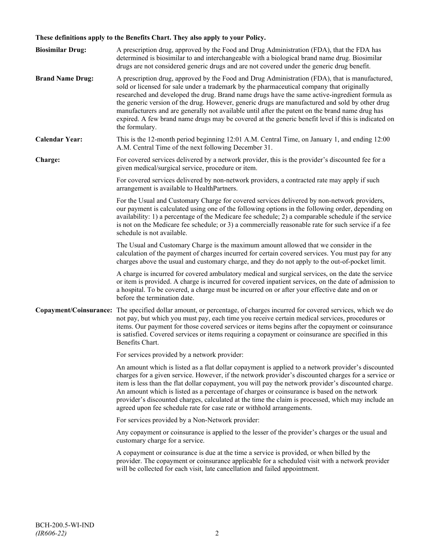# **These definitions apply to the Benefits Chart. They also apply to your Policy.**

| <b>Biosimilar Drug:</b> | A prescription drug, approved by the Food and Drug Administration (FDA), that the FDA has<br>determined is biosimilar to and interchangeable with a biological brand name drug. Biosimilar<br>drugs are not considered generic drugs and are not covered under the generic drug benefit.                                                                                                                                                                                                                                                                                                                                     |
|-------------------------|------------------------------------------------------------------------------------------------------------------------------------------------------------------------------------------------------------------------------------------------------------------------------------------------------------------------------------------------------------------------------------------------------------------------------------------------------------------------------------------------------------------------------------------------------------------------------------------------------------------------------|
| <b>Brand Name Drug:</b> | A prescription drug, approved by the Food and Drug Administration (FDA), that is manufactured,<br>sold or licensed for sale under a trademark by the pharmaceutical company that originally<br>researched and developed the drug. Brand name drugs have the same active-ingredient formula as<br>the generic version of the drug. However, generic drugs are manufactured and sold by other drug<br>manufacturers and are generally not available until after the patent on the brand name drug has<br>expired. A few brand name drugs may be covered at the generic benefit level if this is indicated on<br>the formulary. |
| <b>Calendar Year:</b>   | This is the 12-month period beginning 12:01 A.M. Central Time, on January 1, and ending 12:00<br>A.M. Central Time of the next following December 31.                                                                                                                                                                                                                                                                                                                                                                                                                                                                        |
| Charge:                 | For covered services delivered by a network provider, this is the provider's discounted fee for a<br>given medical/surgical service, procedure or item.                                                                                                                                                                                                                                                                                                                                                                                                                                                                      |
|                         | For covered services delivered by non-network providers, a contracted rate may apply if such<br>arrangement is available to HealthPartners.                                                                                                                                                                                                                                                                                                                                                                                                                                                                                  |
|                         | For the Usual and Customary Charge for covered services delivered by non-network providers,<br>our payment is calculated using one of the following options in the following order, depending on<br>availability: 1) a percentage of the Medicare fee schedule; 2) a comparable schedule if the service<br>is not on the Medicare fee schedule; or 3) a commercially reasonable rate for such service if a fee<br>schedule is not available.                                                                                                                                                                                 |
|                         | The Usual and Customary Charge is the maximum amount allowed that we consider in the<br>calculation of the payment of charges incurred for certain covered services. You must pay for any<br>charges above the usual and customary charge, and they do not apply to the out-of-pocket limit.                                                                                                                                                                                                                                                                                                                                 |
|                         | A charge is incurred for covered ambulatory medical and surgical services, on the date the service<br>or item is provided. A charge is incurred for covered inpatient services, on the date of admission to<br>a hospital. To be covered, a charge must be incurred on or after your effective date and on or<br>before the termination date.                                                                                                                                                                                                                                                                                |
|                         | Copayment/Coinsurance: The specified dollar amount, or percentage, of charges incurred for covered services, which we do<br>not pay, but which you must pay, each time you receive certain medical services, procedures or<br>items. Our payment for those covered services or items begins after the copayment or coinsurance<br>is satisfied. Covered services or items requiring a copayment or coinsurance are specified in this<br>Benefits Chart.                                                                                                                                                                      |
|                         | For services provided by a network provider:                                                                                                                                                                                                                                                                                                                                                                                                                                                                                                                                                                                 |
|                         | An amount which is listed as a flat dollar copayment is applied to a network provider's discounted<br>charges for a given service. However, if the network provider's discounted charges for a service or<br>item is less than the flat dollar copayment, you will pay the network provider's discounted charge.<br>An amount which is listed as a percentage of charges or coinsurance is based on the network<br>provider's discounted charges, calculated at the time the claim is processed, which may include an<br>agreed upon fee schedule rate for case rate or withhold arrangements.                               |
|                         | For services provided by a Non-Network provider:                                                                                                                                                                                                                                                                                                                                                                                                                                                                                                                                                                             |
|                         | Any copayment or coinsurance is applied to the lesser of the provider's charges or the usual and<br>customary charge for a service.                                                                                                                                                                                                                                                                                                                                                                                                                                                                                          |
|                         | A copayment or coinsurance is due at the time a service is provided, or when billed by the<br>provider. The copayment or coinsurance applicable for a scheduled visit with a network provider<br>will be collected for each visit, late cancellation and failed appointment.                                                                                                                                                                                                                                                                                                                                                 |
|                         |                                                                                                                                                                                                                                                                                                                                                                                                                                                                                                                                                                                                                              |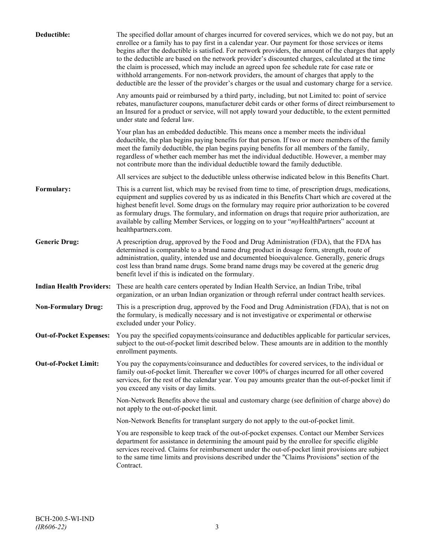| Deductible:                     | The specified dollar amount of charges incurred for covered services, which we do not pay, but an<br>enrollee or a family has to pay first in a calendar year. Our payment for those services or items<br>begins after the deductible is satisfied. For network providers, the amount of the charges that apply<br>to the deductible are based on the network provider's discounted charges, calculated at the time<br>the claim is processed, which may include an agreed upon fee schedule rate for case rate or<br>withhold arrangements. For non-network providers, the amount of charges that apply to the<br>deductible are the lesser of the provider's charges or the usual and customary charge for a service. |
|---------------------------------|-------------------------------------------------------------------------------------------------------------------------------------------------------------------------------------------------------------------------------------------------------------------------------------------------------------------------------------------------------------------------------------------------------------------------------------------------------------------------------------------------------------------------------------------------------------------------------------------------------------------------------------------------------------------------------------------------------------------------|
|                                 | Any amounts paid or reimbursed by a third party, including, but not Limited to: point of service<br>rebates, manufacturer coupons, manufacturer debit cards or other forms of direct reimbursement to<br>an Insured for a product or service, will not apply toward your deductible, to the extent permitted<br>under state and federal law.                                                                                                                                                                                                                                                                                                                                                                            |
|                                 | Your plan has an embedded deductible. This means once a member meets the individual<br>deductible, the plan begins paying benefits for that person. If two or more members of the family<br>meet the family deductible, the plan begins paying benefits for all members of the family,<br>regardless of whether each member has met the individual deductible. However, a member may<br>not contribute more than the individual deductible toward the family deductible.                                                                                                                                                                                                                                                |
|                                 | All services are subject to the deductible unless otherwise indicated below in this Benefits Chart.                                                                                                                                                                                                                                                                                                                                                                                                                                                                                                                                                                                                                     |
| Formulary:                      | This is a current list, which may be revised from time to time, of prescription drugs, medications,<br>equipment and supplies covered by us as indicated in this Benefits Chart which are covered at the<br>highest benefit level. Some drugs on the formulary may require prior authorization to be covered<br>as formulary drugs. The formulary, and information on drugs that require prior authorization, are<br>available by calling Member Services, or logging on to your "myHealthPartners" account at<br>healthpartners.com.                                                                                                                                                                                   |
| <b>Generic Drug:</b>            | A prescription drug, approved by the Food and Drug Administration (FDA), that the FDA has<br>determined is comparable to a brand name drug product in dosage form, strength, route of<br>administration, quality, intended use and documented bioequivalence. Generally, generic drugs<br>cost less than brand name drugs. Some brand name drugs may be covered at the generic drug<br>benefit level if this is indicated on the formulary.                                                                                                                                                                                                                                                                             |
| <b>Indian Health Providers:</b> | These are health care centers operated by Indian Health Service, an Indian Tribe, tribal<br>organization, or an urban Indian organization or through referral under contract health services.                                                                                                                                                                                                                                                                                                                                                                                                                                                                                                                           |
| <b>Non-Formulary Drug:</b>      | This is a prescription drug, approved by the Food and Drug Administration (FDA), that is not on<br>the formulary, is medically necessary and is not investigative or experimental or otherwise<br>excluded under your Policy.                                                                                                                                                                                                                                                                                                                                                                                                                                                                                           |
| <b>Out-of-Pocket Expenses:</b>  | You pay the specified copayments/coinsurance and deductibles applicable for particular services,<br>subject to the out-of-pocket limit described below. These amounts are in addition to the monthly<br>enrollment payments.                                                                                                                                                                                                                                                                                                                                                                                                                                                                                            |
| <b>Out-of-Pocket Limit:</b>     | You pay the copayments/coinsurance and deductibles for covered services, to the individual or<br>family out-of-pocket limit. Thereafter we cover 100% of charges incurred for all other covered<br>services, for the rest of the calendar year. You pay amounts greater than the out-of-pocket limit if<br>you exceed any visits or day limits.                                                                                                                                                                                                                                                                                                                                                                         |
|                                 | Non-Network Benefits above the usual and customary charge (see definition of charge above) do<br>not apply to the out-of-pocket limit.                                                                                                                                                                                                                                                                                                                                                                                                                                                                                                                                                                                  |
|                                 | Non-Network Benefits for transplant surgery do not apply to the out-of-pocket limit.                                                                                                                                                                                                                                                                                                                                                                                                                                                                                                                                                                                                                                    |
|                                 | You are responsible to keep track of the out-of-pocket expenses. Contact our Member Services<br>department for assistance in determining the amount paid by the enrollee for specific eligible<br>services received. Claims for reimbursement under the out-of-pocket limit provisions are subject<br>to the same time limits and provisions described under the "Claims Provisions" section of the<br>Contract.                                                                                                                                                                                                                                                                                                        |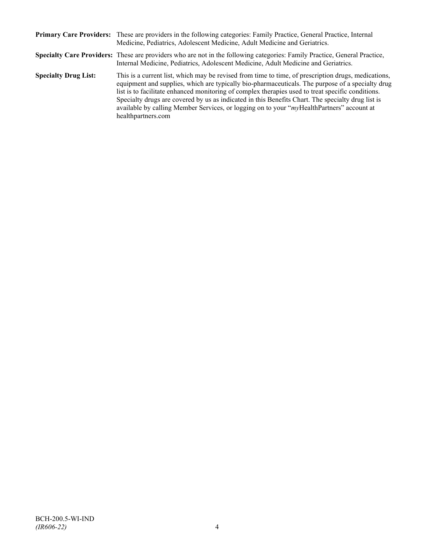|                             | Primary Care Providers: These are providers in the following categories: Family Practice, General Practice, Internal<br>Medicine, Pediatrics, Adolescent Medicine, Adult Medicine and Geriatrics.                                                                                                                                                                                                                                                                                                                                    |
|-----------------------------|--------------------------------------------------------------------------------------------------------------------------------------------------------------------------------------------------------------------------------------------------------------------------------------------------------------------------------------------------------------------------------------------------------------------------------------------------------------------------------------------------------------------------------------|
|                             | Specialty Care Providers: These are providers who are not in the following categories: Family Practice, General Practice,<br>Internal Medicine, Pediatrics, Adolescent Medicine, Adult Medicine and Geriatrics.                                                                                                                                                                                                                                                                                                                      |
| <b>Specialty Drug List:</b> | This is a current list, which may be revised from time to time, of prescription drugs, medications,<br>equipment and supplies, which are typically bio-pharmaceuticals. The purpose of a specialty drug<br>list is to facilitate enhanced monitoring of complex therapies used to treat specific conditions.<br>Specialty drugs are covered by us as indicated in this Benefits Chart. The specialty drug list is<br>available by calling Member Services, or logging on to your "myHealthPartners" account at<br>healthpartners.com |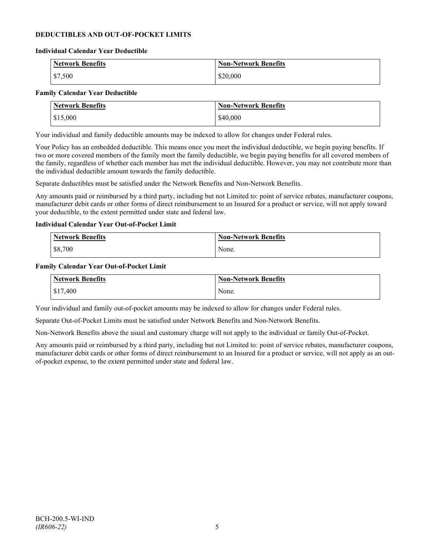### **DEDUCTIBLES AND OUT-OF-POCKET LIMITS**

#### **Individual Calendar Year Deductible**

| <b>Network Benefits</b> | <b>Non-Network Benefits</b> |
|-------------------------|-----------------------------|
| $\frac{1}{2}$ \$7,500   | \$20,000                    |

### **Family Calendar Year Deductible**

| <b>Network Benefits</b> | <b>Non-Network Benefits</b> |
|-------------------------|-----------------------------|
| \$15,000                | \$40,000                    |

Your individual and family deductible amounts may be indexed to allow for changes under Federal rules.

Your Policy has an embedded deductible. This means once you meet the individual deductible, we begin paying benefits. If two or more covered members of the family meet the family deductible, we begin paying benefits for all covered members of the family, regardless of whether each member has met the individual deductible. However, you may not contribute more than the individual deductible amount towards the family deductible.

Separate deductibles must be satisfied under the Network Benefits and Non-Network Benefits.

Any amounts paid or reimbursed by a third party, including but not Limited to: point of service rebates, manufacturer coupons, manufacturer debit cards or other forms of direct reimbursement to an Insured for a product or service, will not apply toward your deductible, to the extent permitted under state and federal law.

### **Individual Calendar Year Out-of-Pocket Limit**

| <b>Network Benefits</b> | <b>Non-Network Benefits</b> |
|-------------------------|-----------------------------|
| \$8,700                 | None.                       |

#### **Family Calendar Year Out-of-Pocket Limit**

| Network Benefits | <b>Non-Network Benefits</b> |
|------------------|-----------------------------|
| \$17,400         | None.                       |

Your individual and family out-of-pocket amounts may be indexed to allow for changes under Federal rules.

Separate Out-of-Pocket Limits must be satisfied under Network Benefits and Non-Network Benefits.

Non-Network Benefits above the usual and customary charge will not apply to the individual or family Out-of-Pocket.

Any amounts paid or reimbursed by a third party, including but not Limited to: point of service rebates, manufacturer coupons, manufacturer debit cards or other forms of direct reimbursement to an Insured for a product or service, will not apply as an outof-pocket expense, to the extent permitted under state and federal law.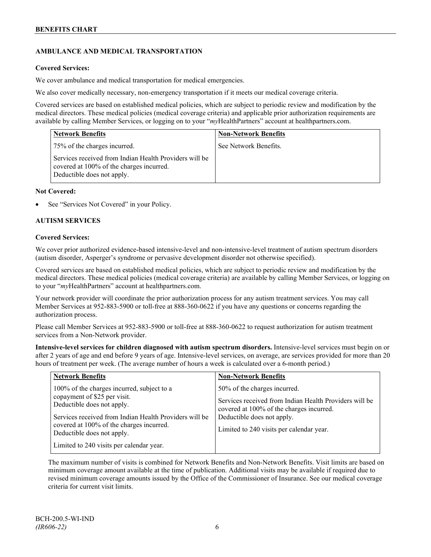### **AMBULANCE AND MEDICAL TRANSPORTATION**

### **Covered Services:**

We cover ambulance and medical transportation for medical emergencies.

We also cover medically necessary, non-emergency transportation if it meets our medical coverage criteria.

Covered services are based on established medical policies, which are subject to periodic review and modification by the medical directors. These medical policies (medical coverage criteria) and applicable prior authorization requirements are available by calling Member Services, or logging on to your "*my*HealthPartners" account a[t healthpartners.com.](http://www.healthpartners.com/)

| <b>Network Benefits</b>                                                                                                          | <b>Non-Network Benefits</b> |
|----------------------------------------------------------------------------------------------------------------------------------|-----------------------------|
| 75% of the charges incurred.                                                                                                     | See Network Benefits.       |
| Services received from Indian Health Providers will be<br>covered at 100% of the charges incurred.<br>Deductible does not apply. |                             |

### **Not Covered:**

See "Services Not Covered" in your Policy.

### **AUTISM SERVICES**

### **Covered Services:**

We cover prior authorized evidence-based intensive-level and non-intensive-level treatment of autism spectrum disorders (autism disorder, Asperger's syndrome or pervasive development disorder not otherwise specified).

Covered services are based on established medical policies, which are subject to periodic review and modification by the medical directors. These medical policies (medical coverage criteria) are available by calling Member Services, or logging on to your "*my*HealthPartners" account at [healthpartners.com.](http://www.healthpartners.com/)

Your network provider will coordinate the prior authorization process for any autism treatment services. You may call Member Services at 952-883-5900 or toll-free at 888-360-0622 if you have any questions or concerns regarding the authorization process.

Please call Member Services at 952-883-5900 or toll-free at 888-360-0622 to request authorization for autism treatment services from a Non-Network provider.

**Intensive-level services for children diagnosed with autism spectrum disorders.** Intensive-level services must begin on or after 2 years of age and end before 9 years of age. Intensive-level services, on average, are services provided for more than 20 hours of treatment per week. (The average number of hours a week is calculated over a 6-month period.)

| <b>Network Benefits</b>                                                                                                                                                                                                                                                                  | <b>Non-Network Benefits</b>                                                                                                                                                                                  |
|------------------------------------------------------------------------------------------------------------------------------------------------------------------------------------------------------------------------------------------------------------------------------------------|--------------------------------------------------------------------------------------------------------------------------------------------------------------------------------------------------------------|
| 100% of the charges incurred, subject to a<br>copayment of \$25 per visit.<br>Deductible does not apply.<br>Services received from Indian Health Providers will be<br>covered at 100% of the charges incurred.<br>Deductible does not apply.<br>Limited to 240 visits per calendar year. | 50% of the charges incurred.<br>Services received from Indian Health Providers will be<br>covered at 100% of the charges incurred.<br>Deductible does not apply.<br>Limited to 240 visits per calendar year. |

The maximum number of visits is combined for Network Benefits and Non-Network Benefits. Visit limits are based on minimum coverage amount available at the time of publication. Additional visits may be available if required due to revised minimum coverage amounts issued by the Office of the Commissioner of Insurance. See our medical coverage criteria for current visit limits.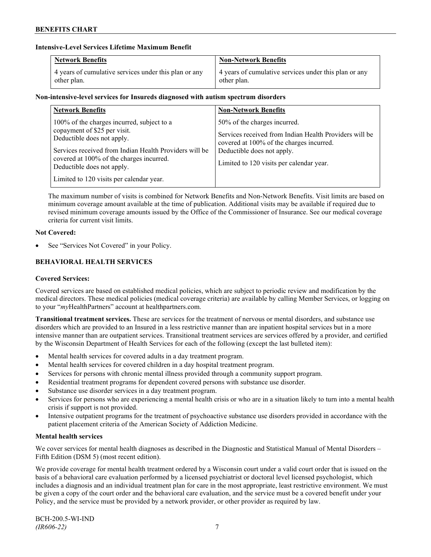### **Intensive-Level Services Lifetime Maximum Benefit**

| <b>Network Benefits</b>                               | <b>Non-Network Benefits</b>                           |
|-------------------------------------------------------|-------------------------------------------------------|
| 4 years of cumulative services under this plan or any | 4 years of cumulative services under this plan or any |
| other plan.                                           | other plan.                                           |

### **Non-intensive-level services for Insureds diagnosed with autism spectrum disorders**

| <b>Network Benefits</b>                                                                                                                                                                                                                                                                  | <b>Non-Network Benefits</b>                                                                                                                                                                                  |
|------------------------------------------------------------------------------------------------------------------------------------------------------------------------------------------------------------------------------------------------------------------------------------------|--------------------------------------------------------------------------------------------------------------------------------------------------------------------------------------------------------------|
| 100% of the charges incurred, subject to a<br>copayment of \$25 per visit.<br>Deductible does not apply.<br>Services received from Indian Health Providers will be<br>covered at 100% of the charges incurred.<br>Deductible does not apply.<br>Limited to 120 visits per calendar year. | 50% of the charges incurred.<br>Services received from Indian Health Providers will be<br>covered at 100% of the charges incurred.<br>Deductible does not apply.<br>Limited to 120 visits per calendar year. |

The maximum number of visits is combined for Network Benefits and Non-Network Benefits. Visit limits are based on minimum coverage amount available at the time of publication. Additional visits may be available if required due to revised minimum coverage amounts issued by the Office of the Commissioner of Insurance. See our medical coverage criteria for current visit limits.

### **Not Covered:**

See "Services Not Covered" in your Policy.

### **BEHAVIORAL HEALTH SERVICES**

### **Covered Services:**

Covered services are based on established medical policies, which are subject to periodic review and modification by the medical directors. These medical policies (medical coverage criteria) are available by calling Member Services, or logging on to your "*my*HealthPartners" account at [healthpartners.com.](http://www.healthpartners.com/)

**Transitional treatment services.** These are services for the treatment of nervous or mental disorders, and substance use disorders which are provided to an Insured in a less restrictive manner than are inpatient hospital services but in a more intensive manner than are outpatient services. Transitional treatment services are services offered by a provider, and certified by the Wisconsin Department of Health Services for each of the following (except the last bulleted item):

- Mental health services for covered adults in a day treatment program.
- Mental health services for covered children in a day hospital treatment program.
- Services for persons with chronic mental illness provided through a community support program.
- Residential treatment programs for dependent covered persons with substance use disorder.
- Substance use disorder services in a day treatment program.
- Services for persons who are experiencing a mental health crisis or who are in a situation likely to turn into a mental health crisis if support is not provided.
- Intensive outpatient programs for the treatment of psychoactive substance use disorders provided in accordance with the patient placement criteria of the American Society of Addiction Medicine.

#### **Mental health services**

We cover services for mental health diagnoses as described in the Diagnostic and Statistical Manual of Mental Disorders – Fifth Edition (DSM 5) (most recent edition).

We provide coverage for mental health treatment ordered by a Wisconsin court under a valid court order that is issued on the basis of a behavioral care evaluation performed by a licensed psychiatrist or doctoral level licensed psychologist, which includes a diagnosis and an individual treatment plan for care in the most appropriate, least restrictive environment. We must be given a copy of the court order and the behavioral care evaluation, and the service must be a covered benefit under your Policy, and the service must be provided by a network provider, or other provider as required by law.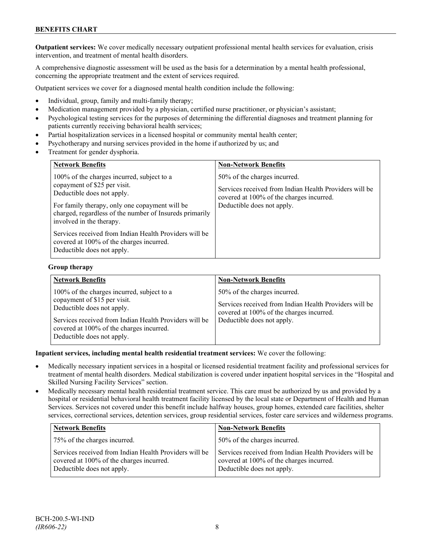### **BENEFITS CHART**

**Outpatient services:** We cover medically necessary outpatient professional mental health services for evaluation, crisis intervention, and treatment of mental health disorders.

A comprehensive diagnostic assessment will be used as the basis for a determination by a mental health professional, concerning the appropriate treatment and the extent of services required.

Outpatient services we cover for a diagnosed mental health condition include the following:

- Individual, group, family and multi-family therapy;
- Medication management provided by a physician, certified nurse practitioner, or physician's assistant;
- Psychological testing services for the purposes of determining the differential diagnoses and treatment planning for patients currently receiving behavioral health services;
- Partial hospitalization services in a licensed hospital or community mental health center;
- Psychotherapy and nursing services provided in the home if authorized by us; and
- Treatment for gender dysphoria.

| <b>Network Benefits</b>                                                                                                                                                                                                                           | <b>Non-Network Benefits</b>                                                                                                                                      |
|---------------------------------------------------------------------------------------------------------------------------------------------------------------------------------------------------------------------------------------------------|------------------------------------------------------------------------------------------------------------------------------------------------------------------|
| 100% of the charges incurred, subject to a<br>copayment of \$25 per visit.<br>Deductible does not apply.<br>For family therapy, only one copayment will be<br>charged, regardless of the number of Insureds primarily<br>involved in the therapy. | 50% of the charges incurred.<br>Services received from Indian Health Providers will be<br>covered at 100% of the charges incurred.<br>Deductible does not apply. |
| Services received from Indian Health Providers will be<br>covered at 100% of the charges incurred.<br>Deductible does not apply.                                                                                                                  |                                                                                                                                                                  |

#### **Group therapy**

| <b>Network Benefits</b>                                                                                                                                                                                                                      | <b>Non-Network Benefits</b>                                                                                                                                      |
|----------------------------------------------------------------------------------------------------------------------------------------------------------------------------------------------------------------------------------------------|------------------------------------------------------------------------------------------------------------------------------------------------------------------|
| 100% of the charges incurred, subject to a<br>copayment of \$15 per visit.<br>Deductible does not apply.<br>Services received from Indian Health Providers will be<br>covered at 100% of the charges incurred.<br>Deductible does not apply. | 50% of the charges incurred.<br>Services received from Indian Health Providers will be<br>covered at 100% of the charges incurred.<br>Deductible does not apply. |

**Inpatient services, including mental health residential treatment services:** We cover the following:

- Medically necessary inpatient services in a hospital or licensed residential treatment facility and professional services for treatment of mental health disorders. Medical stabilization is covered under inpatient hospital services in the "Hospital and Skilled Nursing Facility Services" section.
- Medically necessary mental health residential treatment service. This care must be authorized by us and provided by a hospital or residential behavioral health treatment facility licensed by the local state or Department of Health and Human Services. Services not covered under this benefit include halfway houses, group homes, extended care facilities, shelter services, correctional services, detention services, group residential services, foster care services and wilderness programs.

| <b>Network Benefits</b>                                                                                                          | <b>Non-Network Benefits</b>                                                                                                      |
|----------------------------------------------------------------------------------------------------------------------------------|----------------------------------------------------------------------------------------------------------------------------------|
| 75% of the charges incurred.                                                                                                     | 50% of the charges incurred.                                                                                                     |
| Services received from Indian Health Providers will be<br>covered at 100% of the charges incurred.<br>Deductible does not apply. | Services received from Indian Health Providers will be<br>covered at 100% of the charges incurred.<br>Deductible does not apply. |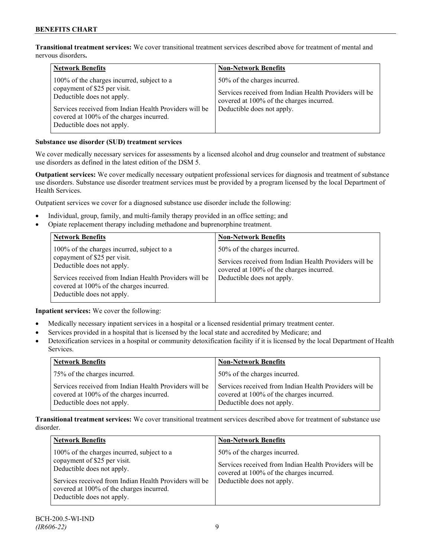**Transitional treatment services:** We cover transitional treatment services described above for treatment of mental and nervous disorders**.**

| <b>Network Benefits</b>                                                                                                                                                                                                                      | <b>Non-Network Benefits</b>                                                                                                                                      |
|----------------------------------------------------------------------------------------------------------------------------------------------------------------------------------------------------------------------------------------------|------------------------------------------------------------------------------------------------------------------------------------------------------------------|
| 100% of the charges incurred, subject to a<br>copayment of \$25 per visit.<br>Deductible does not apply.<br>Services received from Indian Health Providers will be<br>covered at 100% of the charges incurred.<br>Deductible does not apply. | 50% of the charges incurred.<br>Services received from Indian Health Providers will be<br>covered at 100% of the charges incurred.<br>Deductible does not apply. |

### **Substance use disorder (SUD) treatment services**

We cover medically necessary services for assessments by a licensed alcohol and drug counselor and treatment of substance use disorders as defined in the latest edition of the DSM 5.

**Outpatient services:** We cover medically necessary outpatient professional services for diagnosis and treatment of substance use disorders. Substance use disorder treatment services must be provided by a program licensed by the local Department of Health Services.

Outpatient services we cover for a diagnosed substance use disorder include the following:

- Individual, group, family, and multi-family therapy provided in an office setting; and
- Opiate replacement therapy including methadone and buprenorphine treatment.

| <b>Network Benefits</b>                                                                                                                                                                                                                      | <b>Non-Network Benefits</b>                                                                                                                                      |
|----------------------------------------------------------------------------------------------------------------------------------------------------------------------------------------------------------------------------------------------|------------------------------------------------------------------------------------------------------------------------------------------------------------------|
| 100% of the charges incurred, subject to a<br>copayment of \$25 per visit.<br>Deductible does not apply.<br>Services received from Indian Health Providers will be<br>covered at 100% of the charges incurred.<br>Deductible does not apply. | 50% of the charges incurred.<br>Services received from Indian Health Providers will be<br>covered at 100% of the charges incurred.<br>Deductible does not apply. |

**Inpatient services:** We cover the following:

- Medically necessary inpatient services in a hospital or a licensed residential primary treatment center.
- Services provided in a hospital that is licensed by the local state and accredited by Medicare; and
- Detoxification services in a hospital or community detoxification facility if it is licensed by the local Department of Health Services.

| <b>Network Benefits</b>                                                                                                          | <b>Non-Network Benefits</b>                                                                                                      |
|----------------------------------------------------------------------------------------------------------------------------------|----------------------------------------------------------------------------------------------------------------------------------|
| 75% of the charges incurred.                                                                                                     | 50% of the charges incurred.                                                                                                     |
| Services received from Indian Health Providers will be<br>covered at 100% of the charges incurred.<br>Deductible does not apply. | Services received from Indian Health Providers will be<br>covered at 100% of the charges incurred.<br>Deductible does not apply. |

**Transitional treatment services:** We cover transitional treatment services described above for treatment of substance use disorder.

| <b>Network Benefits</b>                                                                                                                                                                                                                      | <b>Non-Network Benefits</b>                                                                                                                                      |
|----------------------------------------------------------------------------------------------------------------------------------------------------------------------------------------------------------------------------------------------|------------------------------------------------------------------------------------------------------------------------------------------------------------------|
| 100% of the charges incurred, subject to a<br>copayment of \$25 per visit.<br>Deductible does not apply.<br>Services received from Indian Health Providers will be<br>covered at 100% of the charges incurred.<br>Deductible does not apply. | 50% of the charges incurred.<br>Services received from Indian Health Providers will be<br>covered at 100% of the charges incurred.<br>Deductible does not apply. |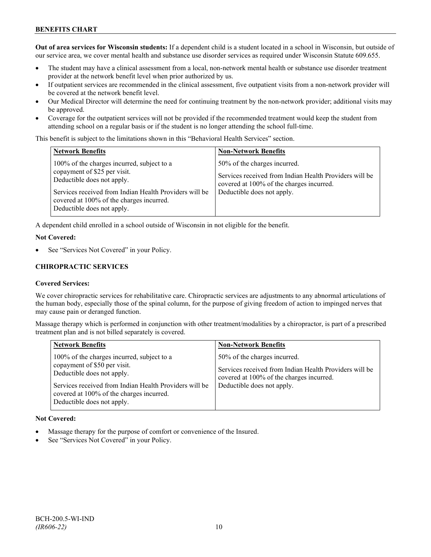### **BENEFITS CHART**

**Out of area services for Wisconsin students:** If a dependent child is a student located in a school in Wisconsin, but outside of our service area, we cover mental health and substance use disorder services as required under Wisconsin Statute 609.655.

- The student may have a clinical assessment from a local, non-network mental health or substance use disorder treatment provider at the network benefit level when prior authorized by us.
- If outpatient services are recommended in the clinical assessment, five outpatient visits from a non-network provider will be covered at the network benefit level.
- Our Medical Director will determine the need for continuing treatment by the non-network provider; additional visits may be approved.
- Coverage for the outpatient services will not be provided if the recommended treatment would keep the student from attending school on a regular basis or if the student is no longer attending the school full-time.

This benefit is subject to the limitations shown in this "Behavioral Health Services" section.

| <b>Network Benefits</b>                                                                                                                                                                                                                      | <b>Non-Network Benefits</b>                                                                                                                                      |
|----------------------------------------------------------------------------------------------------------------------------------------------------------------------------------------------------------------------------------------------|------------------------------------------------------------------------------------------------------------------------------------------------------------------|
| 100% of the charges incurred, subject to a<br>copayment of \$25 per visit.<br>Deductible does not apply.<br>Services received from Indian Health Providers will be<br>covered at 100% of the charges incurred.<br>Deductible does not apply. | 50% of the charges incurred.<br>Services received from Indian Health Providers will be<br>covered at 100% of the charges incurred.<br>Deductible does not apply. |

A dependent child enrolled in a school outside of Wisconsin in not eligible for the benefit.

### **Not Covered:**

See "Services Not Covered" in your Policy.

### **CHIROPRACTIC SERVICES**

### **Covered Services:**

We cover chiropractic services for rehabilitative care. Chiropractic services are adjustments to any abnormal articulations of the human body, especially those of the spinal column, for the purpose of giving freedom of action to impinged nerves that may cause pain or deranged function.

Massage therapy which is performed in conjunction with other treatment/modalities by a chiropractor, is part of a prescribed treatment plan and is not billed separately is covered.

| <b>Network Benefits</b>                                                                                                                                                                                                                      | <b>Non-Network Benefits</b>                                                                                                                                      |
|----------------------------------------------------------------------------------------------------------------------------------------------------------------------------------------------------------------------------------------------|------------------------------------------------------------------------------------------------------------------------------------------------------------------|
| 100% of the charges incurred, subject to a<br>copayment of \$50 per visit.<br>Deductible does not apply.<br>Services received from Indian Health Providers will be<br>covered at 100% of the charges incurred.<br>Deductible does not apply. | 50% of the charges incurred.<br>Services received from Indian Health Providers will be<br>covered at 100% of the charges incurred.<br>Deductible does not apply. |

#### **Not Covered:**

- Massage therapy for the purpose of comfort or convenience of the Insured.
- See "Services Not Covered" in your Policy.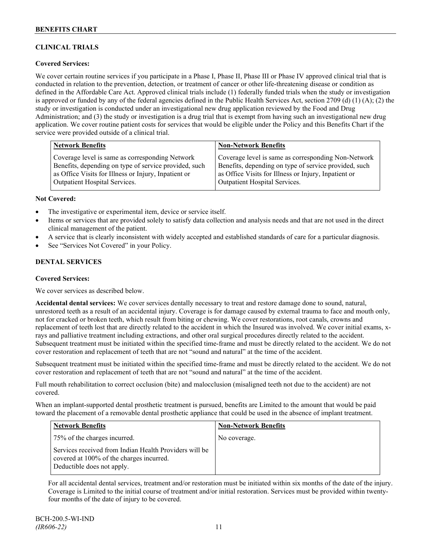### **CLINICAL TRIALS**

### **Covered Services:**

We cover certain routine services if you participate in a Phase I, Phase II, Phase III or Phase IV approved clinical trial that is conducted in relation to the prevention, detection, or treatment of cancer or other life-threatening disease or condition as defined in the Affordable Care Act. Approved clinical trials include (1) federally funded trials when the study or investigation is approved or funded by any of the federal agencies defined in the Public Health Services Act, section 2709 (d) (1) (A); (2) the study or investigation is conducted under an investigational new drug application reviewed by the Food and Drug Administration; and (3) the study or investigation is a drug trial that is exempt from having such an investigational new drug application. We cover routine patient costs for services that would be eligible under the Policy and this Benefits Chart if the service were provided outside of a clinical trial.

| <b>Network Benefits</b>                               | <b>Non-Network Benefits</b>                           |
|-------------------------------------------------------|-------------------------------------------------------|
| Coverage level is same as corresponding Network       | Coverage level is same as corresponding Non-Network   |
| Benefits, depending on type of service provided, such | Benefits, depending on type of service provided, such |
| as Office Visits for Illness or Injury, Inpatient or  | as Office Visits for Illness or Injury, Inpatient or  |
| <b>Outpatient Hospital Services.</b>                  | <b>Outpatient Hospital Services.</b>                  |

### **Not Covered:**

- The investigative or experimental item, device or service itself.
- Items or services that are provided solely to satisfy data collection and analysis needs and that are not used in the direct clinical management of the patient.
- A service that is clearly inconsistent with widely accepted and established standards of care for a particular diagnosis.
- See "Services Not Covered" in your Policy.

### **DENTAL SERVICES**

### **Covered Services:**

We cover services as described below.

**Accidental dental services:** We cover services dentally necessary to treat and restore damage done to sound, natural, unrestored teeth as a result of an accidental injury. Coverage is for damage caused by external trauma to face and mouth only, not for cracked or broken teeth, which result from biting or chewing. We cover restorations, root canals, crowns and replacement of teeth lost that are directly related to the accident in which the Insured was involved. We cover initial exams, xrays and palliative treatment including extractions, and other oral surgical procedures directly related to the accident. Subsequent treatment must be initiated within the specified time-frame and must be directly related to the accident. We do not cover restoration and replacement of teeth that are not "sound and natural" at the time of the accident.

Subsequent treatment must be initiated within the specified time-frame and must be directly related to the accident. We do not cover restoration and replacement of teeth that are not "sound and natural" at the time of the accident.

Full mouth rehabilitation to correct occlusion (bite) and malocclusion (misaligned teeth not due to the accident) are not covered.

When an implant-supported dental prosthetic treatment is pursued, benefits are Limited to the amount that would be paid toward the placement of a removable dental prosthetic appliance that could be used in the absence of implant treatment.

| Network Benefits                                                                                                                 | <b>Non-Network Benefits</b> |
|----------------------------------------------------------------------------------------------------------------------------------|-----------------------------|
| 75% of the charges incurred.                                                                                                     | No coverage.                |
| Services received from Indian Health Providers will be<br>covered at 100% of the charges incurred.<br>Deductible does not apply. |                             |

For all accidental dental services, treatment and/or restoration must be initiated within six months of the date of the injury. Coverage is Limited to the initial course of treatment and/or initial restoration. Services must be provided within twentyfour months of the date of injury to be covered.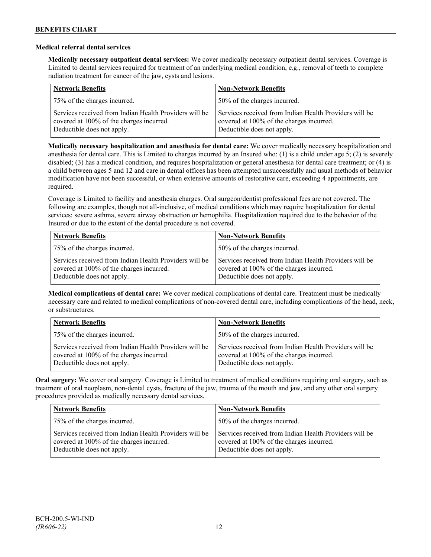### **Medical referral dental services**

**Medically necessary outpatient dental services:** We cover medically necessary outpatient dental services. Coverage is Limited to dental services required for treatment of an underlying medical condition, e.g., removal of teeth to complete radiation treatment for cancer of the jaw, cysts and lesions.

| <b>Network Benefits</b>                                                                                                          | <b>Non-Network Benefits</b>                                                                                                      |
|----------------------------------------------------------------------------------------------------------------------------------|----------------------------------------------------------------------------------------------------------------------------------|
| 75% of the charges incurred.                                                                                                     | 50% of the charges incurred.                                                                                                     |
| Services received from Indian Health Providers will be<br>covered at 100% of the charges incurred.<br>Deductible does not apply. | Services received from Indian Health Providers will be<br>covered at 100% of the charges incurred.<br>Deductible does not apply. |

**Medically necessary hospitalization and anesthesia for dental care:** We cover medically necessary hospitalization and anesthesia for dental care. This is Limited to charges incurred by an Insured who: (1) is a child under age 5; (2) is severely disabled; (3) has a medical condition, and requires hospitalization or general anesthesia for dental care treatment; or (4) is a child between ages 5 and 12 and care in dental offices has been attempted unsuccessfully and usual methods of behavior modification have not been successful, or when extensive amounts of restorative care, exceeding 4 appointments, are required.

Coverage is Limited to facility and anesthesia charges. Oral surgeon/dentist professional fees are not covered. The following are examples, though not all-inclusive, of medical conditions which may require hospitalization for dental services: severe asthma, severe airway obstruction or hemophilia. Hospitalization required due to the behavior of the Insured or due to the extent of the dental procedure is not covered.

| <b>Network Benefits</b>                                                                                                          | <b>Non-Network Benefits</b>                                                                                                      |
|----------------------------------------------------------------------------------------------------------------------------------|----------------------------------------------------------------------------------------------------------------------------------|
| 75% of the charges incurred.                                                                                                     | 50% of the charges incurred.                                                                                                     |
| Services received from Indian Health Providers will be<br>covered at 100% of the charges incurred.<br>Deductible does not apply. | Services received from Indian Health Providers will be<br>covered at 100% of the charges incurred.<br>Deductible does not apply. |

**Medical complications of dental care:** We cover medical complications of dental care. Treatment must be medically necessary care and related to medical complications of non-covered dental care, including complications of the head, neck, or substructures.

| <b>Network Benefits</b>                                                                                                          | <b>Non-Network Benefits</b>                                                                                                      |
|----------------------------------------------------------------------------------------------------------------------------------|----------------------------------------------------------------------------------------------------------------------------------|
| 75% of the charges incurred.                                                                                                     | 50% of the charges incurred.                                                                                                     |
| Services received from Indian Health Providers will be<br>covered at 100% of the charges incurred.<br>Deductible does not apply. | Services received from Indian Health Providers will be<br>covered at 100% of the charges incurred.<br>Deductible does not apply. |

**Oral surgery:** We cover oral surgery. Coverage is Limited to treatment of medical conditions requiring oral surgery, such as treatment of oral neoplasm, non-dental cysts, fracture of the jaw, trauma of the mouth and jaw, and any other oral surgery procedures provided as medically necessary dental services.

| <b>Network Benefits</b>                                                                                                          | <b>Non-Network Benefits</b>                                                                                                      |
|----------------------------------------------------------------------------------------------------------------------------------|----------------------------------------------------------------------------------------------------------------------------------|
| 75% of the charges incurred.                                                                                                     | 50% of the charges incurred.                                                                                                     |
| Services received from Indian Health Providers will be<br>covered at 100% of the charges incurred.<br>Deductible does not apply. | Services received from Indian Health Providers will be<br>covered at 100% of the charges incurred.<br>Deductible does not apply. |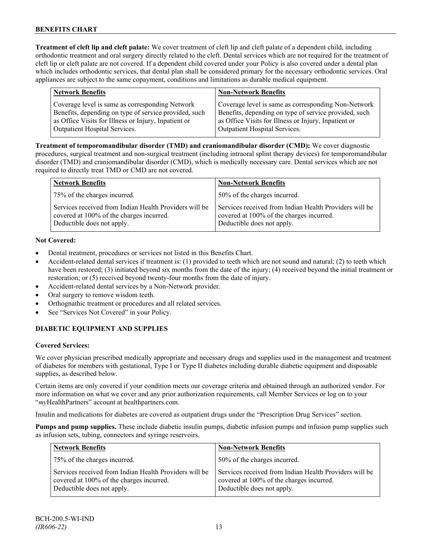**Treatment of cleft lip and cleft palate:** We cover treatment of cleft lip and cleft palate of a dependent child, including orthodontic treatment and oral surgery directly related to the cleft. Dental services which are not required for the treatment of cleft lip or cleft palate are not covered. If a dependent child covered under your Policy is also covered under a dental plan which includes orthodontic services, that dental plan shall be considered primary for the necessary orthodontic services. Oral appliances are subject to the same copayment, conditions and limitations as durable medical equipment.

| <b>Network Benefits</b>                                                                                                                                          | <b>Non-Network Benefits</b>                                                                                                                                          |
|------------------------------------------------------------------------------------------------------------------------------------------------------------------|----------------------------------------------------------------------------------------------------------------------------------------------------------------------|
| Coverage level is same as corresponding Network<br>Benefits, depending on type of service provided, such<br>as Office Visits for Illness or Injury, Inpatient or | Coverage level is same as corresponding Non-Network<br>Benefits, depending on type of service provided, such<br>as Office Visits for Illness or Injury, Inpatient or |
| <b>Outpatient Hospital Services.</b>                                                                                                                             | Outpatient Hospital Services.                                                                                                                                        |

**Treatment of temporomandibular disorder (TMD) and craniomandibular disorder (CMD):** We cover diagnostic procedures, surgical treatment and non-surgical treatment (including intraoral splint therapy devices) for temporomandibular disorder (TMD) and craniomandibular disorder (CMD), which is medically necessary care. Dental services which are not required to directly treat TMD or CMD are not covered.

| <b>Network Benefits</b>                                                                                                          | <b>Non-Network Benefits</b>                                                                                                      |
|----------------------------------------------------------------------------------------------------------------------------------|----------------------------------------------------------------------------------------------------------------------------------|
| 75% of the charges incurred.                                                                                                     | 50% of the charges incurred.                                                                                                     |
| Services received from Indian Health Providers will be<br>covered at 100% of the charges incurred.<br>Deductible does not apply. | Services received from Indian Health Providers will be<br>covered at 100% of the charges incurred.<br>Deductible does not apply. |

### **Not Covered:**

- Dental treatment, procedures or services not listed in this Benefits Chart.
- Accident-related dental services if treatment is: (1) provided to teeth which are not sound and natural; (2) to teeth which have been restored; (3) initiated beyond six months from the date of the injury; (4) received beyond the initial treatment or restoration; or (5) received beyond twenty-four months from the date of injury.
- Accident-related dental services by a Non-Network provider.
- Oral surgery to remove wisdom teeth.
- Orthognathic treatment or procedures and all related services.
- See "Services Not Covered" in your Policy.

### **DIABETIC EQUIPMENT AND SUPPLIES**

### **Covered Services:**

We cover physician prescribed medically appropriate and necessary drugs and supplies used in the management and treatment of diabetes for members with gestational, Type I or Type II diabetes including durable diabetic equipment and disposable supplies, as described below.

Certain items are only covered if your condition meets our coverage criteria and obtained through an authorized vendor. For more information on what we cover and any prior authorization requirements, call Member Services or log on to your "*my*HealthPartners" account at [healthpartners.com.](http://www.healthpartners.com/)

Insulin and medications for diabetes are covered as outpatient drugs under the "Prescription Drug Services" section.

**Pumps and pump supplies.** These include diabetic insulin pumps, diabetic infusion pumps and infusion pump supplies such as infusion sets, tubing, connectors and syringe reservoirs.

| <b>Network Benefits</b>                                                                                                          | <b>Non-Network Benefits</b>                                                                                                      |
|----------------------------------------------------------------------------------------------------------------------------------|----------------------------------------------------------------------------------------------------------------------------------|
| 75% of the charges incurred.                                                                                                     | 50% of the charges incurred.                                                                                                     |
| Services received from Indian Health Providers will be<br>covered at 100% of the charges incurred.<br>Deductible does not apply. | Services received from Indian Health Providers will be<br>covered at 100% of the charges incurred.<br>Deductible does not apply. |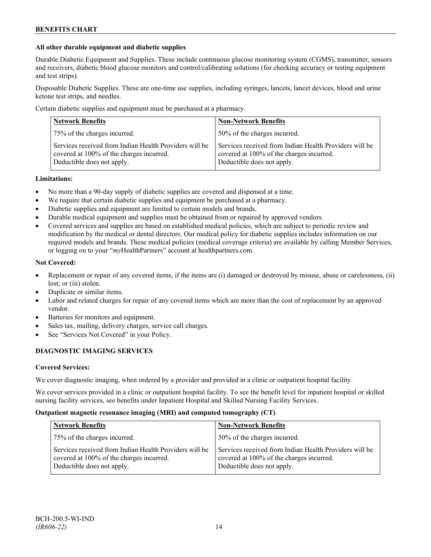### **All other durable equipment and diabetic supplies**

Durable Diabetic Equipment and Supplies. These include continuous glucose monitoring system (CGMS), transmitter, sensors and receivers, diabetic blood glucose monitors and control/calibrating solutions (for checking accuracy or testing equipment and test strips).

Disposable Diabetic Supplies. These are one-time use supplies, including syringes, lancets, lancet devices, blood and urine ketone test strips, and needles.

Certain diabetic supplies and equipment must be purchased at a pharmacy.

| <b>Network Benefits</b>                                                                                                          | <b>Non-Network Benefits</b>                                                                                                      |
|----------------------------------------------------------------------------------------------------------------------------------|----------------------------------------------------------------------------------------------------------------------------------|
| 75% of the charges incurred.                                                                                                     | 50% of the charges incurred.                                                                                                     |
| Services received from Indian Health Providers will be<br>covered at 100% of the charges incurred.<br>Deductible does not apply. | Services received from Indian Health Providers will be<br>covered at 100% of the charges incurred.<br>Deductible does not apply. |

### **Limitations:**

- No more than a 90-day supply of diabetic supplies are covered and dispensed at a time.
- We require that certain diabetic supplies and equipment be purchased at a pharmacy.
- Diabetic supplies and equipment are limited to certain models and brands.
- Durable medical equipment and supplies must be obtained from or repaired by approved vendors.
- Covered services and supplies are based on established medical policies, which are subject to periodic review and modification by the medical or dental directors. Our medical policy for diabetic supplies includes information on our required models and brands. These medical policies (medical coverage criteria) are available by calling Member Services, or logging on to your "*my*HealthPartners" account at healthpartners.com.

### **Not Covered:**

- Replacement or repair of any covered items, if the items are (i) damaged or destroyed by misuse, abuse or carelessness, (ii) lost; or (iii) stolen.
- Duplicate or similar items.
- Labor and related charges for repair of any covered items which are more than the cost of replacement by an approved vendor.
- Batteries for monitors and equipment.
- Sales tax, mailing, delivery charges, service call charges.
- See "Services Not Covered" in your Policy.

### **DIAGNOSTIC IMAGING SERVICES**

#### **Covered Services:**

We cover diagnostic imaging, when ordered by a provider and provided in a clinic or outpatient hospital facility.

We cover services provided in a clinic or outpatient hospital facility. To see the benefit level for inpatient hospital or skilled nursing facility services, see benefits under Inpatient Hospital and Skilled Nursing Facility Services.

#### **Outpatient magnetic resonance imaging (MRI) and computed tomography (CT)**

| <b>Network Benefits</b>                                                                                                          | <b>Non-Network Benefits</b>                                                                                                      |
|----------------------------------------------------------------------------------------------------------------------------------|----------------------------------------------------------------------------------------------------------------------------------|
| 75% of the charges incurred.                                                                                                     | 50% of the charges incurred.                                                                                                     |
| Services received from Indian Health Providers will be<br>covered at 100% of the charges incurred.<br>Deductible does not apply. | Services received from Indian Health Providers will be<br>covered at 100% of the charges incurred.<br>Deductible does not apply. |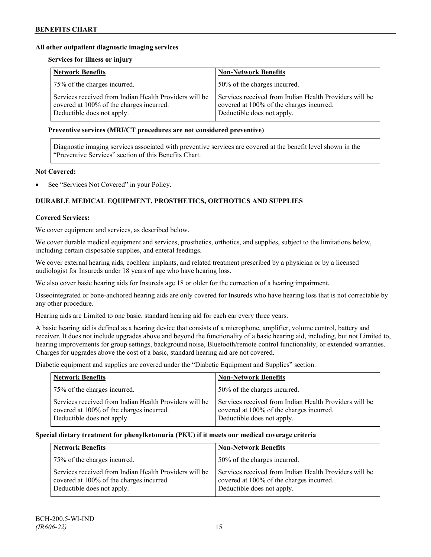### **All other outpatient diagnostic imaging services**

### **Services for illness or injury**

| <b>Network Benefits</b>                                                                                                          | <b>Non-Network Benefits</b>                                                                                                      |
|----------------------------------------------------------------------------------------------------------------------------------|----------------------------------------------------------------------------------------------------------------------------------|
| 75% of the charges incurred.                                                                                                     | 50% of the charges incurred.                                                                                                     |
| Services received from Indian Health Providers will be<br>covered at 100% of the charges incurred.<br>Deductible does not apply. | Services received from Indian Health Providers will be<br>covered at 100% of the charges incurred.<br>Deductible does not apply. |

### **Preventive services (MRI/CT procedures are not considered preventive)**

Diagnostic imaging services associated with preventive services are covered at the benefit level shown in the "Preventive Services" section of this Benefits Chart.

### **Not Covered:**

See "Services Not Covered" in your Policy.

### **DURABLE MEDICAL EQUIPMENT, PROSTHETICS, ORTHOTICS AND SUPPLIES**

#### **Covered Services:**

We cover equipment and services, as described below.

We cover durable medical equipment and services, prosthetics, orthotics, and supplies, subject to the limitations below, including certain disposable supplies, and enteral feedings.

We cover external hearing aids, cochlear implants, and related treatment prescribed by a physician or by a licensed audiologist for Insureds under 18 years of age who have hearing loss.

We also cover basic hearing aids for Insureds age 18 or older for the correction of a hearing impairment.

Osseointegrated or bone-anchored hearing aids are only covered for Insureds who have hearing loss that is not correctable by any other procedure.

Hearing aids are Limited to one basic, standard hearing aid for each ear every three years.

A basic hearing aid is defined as a hearing device that consists of a microphone, amplifier, volume control, battery and receiver. It does not include upgrades above and beyond the functionality of a basic hearing aid, including, but not Limited to, hearing improvements for group settings, background noise, Bluetooth/remote control functionality, or extended warranties. Charges for upgrades above the cost of a basic, standard hearing aid are not covered.

Diabetic equipment and supplies are covered under the "Diabetic Equipment and Supplies" section.

| <b>Network Benefits</b>                                                                                                          | <b>Non-Network Benefits</b>                                                                                                      |
|----------------------------------------------------------------------------------------------------------------------------------|----------------------------------------------------------------------------------------------------------------------------------|
| 75% of the charges incurred.                                                                                                     | 50% of the charges incurred.                                                                                                     |
| Services received from Indian Health Providers will be<br>covered at 100% of the charges incurred.<br>Deductible does not apply. | Services received from Indian Health Providers will be<br>covered at 100% of the charges incurred.<br>Deductible does not apply. |

#### **Special dietary treatment for phenylketonuria (PKU) if it meets our medical coverage criteria**

| <b>Network Benefits</b>                                                                                                          | <b>Non-Network Benefits</b>                                                                                                      |
|----------------------------------------------------------------------------------------------------------------------------------|----------------------------------------------------------------------------------------------------------------------------------|
| 75% of the charges incurred.                                                                                                     | 50% of the charges incurred.                                                                                                     |
| Services received from Indian Health Providers will be<br>covered at 100% of the charges incurred.<br>Deductible does not apply. | Services received from Indian Health Providers will be<br>covered at 100% of the charges incurred.<br>Deductible does not apply. |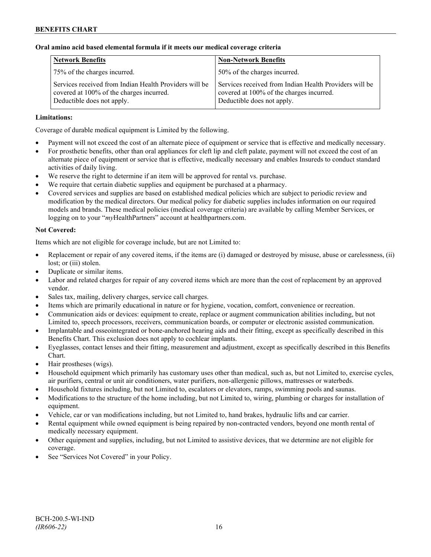### **Oral amino acid based elemental formula if it meets our medical coverage criteria**

| <b>Network Benefits</b>                                                                                                          | <b>Non-Network Benefits</b>                                                                                                      |
|----------------------------------------------------------------------------------------------------------------------------------|----------------------------------------------------------------------------------------------------------------------------------|
| 75% of the charges incurred.                                                                                                     | 50% of the charges incurred.                                                                                                     |
| Services received from Indian Health Providers will be<br>covered at 100% of the charges incurred.<br>Deductible does not apply. | Services received from Indian Health Providers will be<br>covered at 100% of the charges incurred.<br>Deductible does not apply. |

### **Limitations:**

Coverage of durable medical equipment is Limited by the following.

- Payment will not exceed the cost of an alternate piece of equipment or service that is effective and medically necessary.
- For prosthetic benefits, other than oral appliances for cleft lip and cleft palate, payment will not exceed the cost of an alternate piece of equipment or service that is effective, medically necessary and enables Insureds to conduct standard activities of daily living.
- We reserve the right to determine if an item will be approved for rental vs. purchase.
- We require that certain diabetic supplies and equipment be purchased at a pharmacy.
- Covered services and supplies are based on established medical policies which are subject to periodic review and modification by the medical directors. Our medical policy for diabetic supplies includes information on our required models and brands. These medical policies (medical coverage criteria) are available by calling Member Services, or logging on to your "*my*HealthPartners" account at [healthpartners.com.](http://www.healthpartners.com/)

### **Not Covered:**

Items which are not eligible for coverage include, but are not Limited to:

- Replacement or repair of any covered items, if the items are (i) damaged or destroyed by misuse, abuse or carelessness, (ii) lost; or (iii) stolen.
- Duplicate or similar items.
- Labor and related charges for repair of any covered items which are more than the cost of replacement by an approved vendor.
- Sales tax, mailing, delivery charges, service call charges.
- Items which are primarily educational in nature or for hygiene, vocation, comfort, convenience or recreation.
- Communication aids or devices: equipment to create, replace or augment communication abilities including, but not Limited to, speech processors, receivers, communication boards, or computer or electronic assisted communication.
- Implantable and osseointegrated or bone-anchored hearing aids and their fitting, except as specifically described in this Benefits Chart. This exclusion does not apply to cochlear implants.
- Eyeglasses, contact lenses and their fitting, measurement and adjustment, except as specifically described in this Benefits Chart.
- Hair prostheses (wigs).
- Household equipment which primarily has customary uses other than medical, such as, but not Limited to, exercise cycles, air purifiers, central or unit air conditioners, water purifiers, non-allergenic pillows, mattresses or waterbeds.
- Household fixtures including, but not Limited to, escalators or elevators, ramps, swimming pools and saunas.
- Modifications to the structure of the home including, but not Limited to, wiring, plumbing or charges for installation of equipment.
- Vehicle, car or van modifications including, but not Limited to, hand brakes, hydraulic lifts and car carrier.
- Rental equipment while owned equipment is being repaired by non-contracted vendors, beyond one month rental of medically necessary equipment.
- Other equipment and supplies, including, but not Limited to assistive devices, that we determine are not eligible for coverage.
- See "Services Not Covered" in your Policy.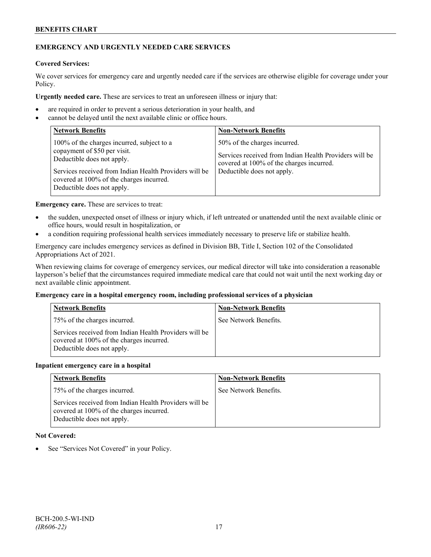### **BENEFITS CHART**

### **EMERGENCY AND URGENTLY NEEDED CARE SERVICES**

### **Covered Services:**

We cover services for emergency care and urgently needed care if the services are otherwise eligible for coverage under your Policy.

**Urgently needed care.** These are services to treat an unforeseen illness or injury that:

- are required in order to prevent a serious deterioration in your health, and
- cannot be delayed until the next available clinic or office hours.

| <b>Network Benefits</b>                                                                                                                                                                                                                      | <b>Non-Network Benefits</b>                                                                                                                                      |
|----------------------------------------------------------------------------------------------------------------------------------------------------------------------------------------------------------------------------------------------|------------------------------------------------------------------------------------------------------------------------------------------------------------------|
| 100% of the charges incurred, subject to a<br>copayment of \$50 per visit.<br>Deductible does not apply.<br>Services received from Indian Health Providers will be<br>covered at 100% of the charges incurred.<br>Deductible does not apply. | 50% of the charges incurred.<br>Services received from Indian Health Providers will be<br>covered at 100% of the charges incurred.<br>Deductible does not apply. |

**Emergency care.** These are services to treat:

- the sudden, unexpected onset of illness or injury which, if left untreated or unattended until the next available clinic or office hours, would result in hospitalization, or
- a condition requiring professional health services immediately necessary to preserve life or stabilize health.

Emergency care includes emergency services as defined in Division BB, Title I, Section 102 of the Consolidated Appropriations Act of 2021.

When reviewing claims for coverage of emergency services, our medical director will take into consideration a reasonable layperson's belief that the circumstances required immediate medical care that could not wait until the next working day or next available clinic appointment.

#### **Emergency care in a hospital emergency room, including professional services of a physician**

| <b>Network Benefits</b>                                                                                                          | <b>Non-Network Benefits</b> |
|----------------------------------------------------------------------------------------------------------------------------------|-----------------------------|
| 75% of the charges incurred.                                                                                                     | See Network Benefits.       |
| Services received from Indian Health Providers will be<br>covered at 100% of the charges incurred.<br>Deductible does not apply. |                             |

#### **Inpatient emergency care in a hospital**

| <b>Network Benefits</b>                                                                                                          | <b>Non-Network Benefits</b> |
|----------------------------------------------------------------------------------------------------------------------------------|-----------------------------|
| 75% of the charges incurred.                                                                                                     | See Network Benefits.       |
| Services received from Indian Health Providers will be<br>covered at 100% of the charges incurred.<br>Deductible does not apply. |                             |

### **Not Covered:**

See "Services Not Covered" in your Policy.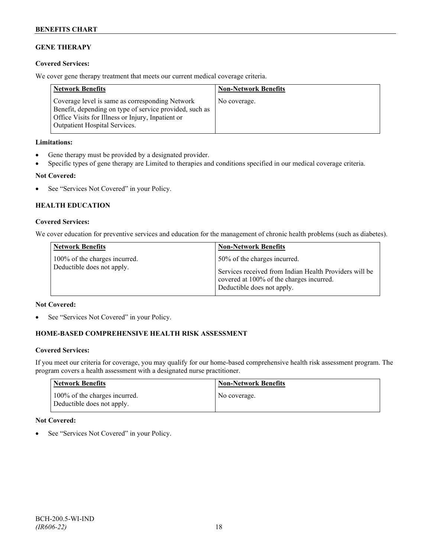# **GENE THERAPY**

### **Covered Services:**

We cover gene therapy treatment that meets our current medical coverage criteria.

| <b>Network Benefits</b>                                                                                                                                                                                 | <b>Non-Network Benefits</b> |
|---------------------------------------------------------------------------------------------------------------------------------------------------------------------------------------------------------|-----------------------------|
| Coverage level is same as corresponding Network<br>Benefit, depending on type of service provided, such as<br>Office Visits for Illness or Injury, Inpatient or<br><b>Outpatient Hospital Services.</b> | No coverage.                |

### **Limitations:**

- Gene therapy must be provided by a designated provider.
- Specific types of gene therapy are Limited to therapies and conditions specified in our medical coverage criteria.

### **Not Covered:**

• See "Services Not Covered" in your Policy.

### **HEALTH EDUCATION**

### **Covered Services:**

We cover education for preventive services and education for the management of chronic health problems (such as diabetes).

| <b>Network Benefits</b>                                     | <b>Non-Network Benefits</b>                                                                                                      |
|-------------------------------------------------------------|----------------------------------------------------------------------------------------------------------------------------------|
| 100% of the charges incurred.<br>Deductible does not apply. | 50% of the charges incurred.                                                                                                     |
|                                                             | Services received from Indian Health Providers will be<br>covered at 100% of the charges incurred.<br>Deductible does not apply. |

### **Not Covered:**

See "Services Not Covered" in your Policy.

### **HOME-BASED COMPREHENSIVE HEALTH RISK ASSESSMENT**

### **Covered Services:**

If you meet our criteria for coverage, you may qualify for our home-based comprehensive health risk assessment program. The program covers a health assessment with a designated nurse practitioner.

| Network Benefits                                            | <b>Non-Network Benefits</b> |
|-------------------------------------------------------------|-----------------------------|
| 100% of the charges incurred.<br>Deductible does not apply. | No coverage.                |

### **Not Covered:**

See "Services Not Covered" in your Policy.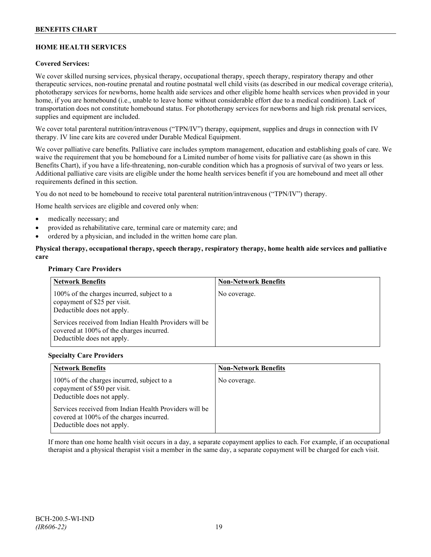### **HOME HEALTH SERVICES**

### **Covered Services:**

We cover skilled nursing services, physical therapy, occupational therapy, speech therapy, respiratory therapy and other therapeutic services, non-routine prenatal and routine postnatal well child visits (as described in our medical coverage criteria), phototherapy services for newborns, home health aide services and other eligible home health services when provided in your home, if you are homebound (i.e., unable to leave home without considerable effort due to a medical condition). Lack of transportation does not constitute homebound status. For phototherapy services for newborns and high risk prenatal services, supplies and equipment are included.

We cover total parenteral nutrition/intravenous ("TPN/IV") therapy, equipment, supplies and drugs in connection with IV therapy. IV line care kits are covered under Durable Medical Equipment.

We cover palliative care benefits. Palliative care includes symptom management, education and establishing goals of care. We waive the requirement that you be homebound for a Limited number of home visits for palliative care (as shown in this Benefits Chart), if you have a life-threatening, non-curable condition which has a prognosis of survival of two years or less. Additional palliative care visits are eligible under the home health services benefit if you are homebound and meet all other requirements defined in this section.

You do not need to be homebound to receive total parenteral nutrition/intravenous ("TPN/IV") therapy.

Home health services are eligible and covered only when:

- medically necessary; and
- provided as rehabilitative care, terminal care or maternity care; and
- ordered by a physician, and included in the written home care plan.

### **Physical therapy, occupational therapy, speech therapy, respiratory therapy, home health aide services and palliative care**

### **Primary Care Providers**

| <b>Network Benefits</b>                                                                                                          | <b>Non-Network Benefits</b> |
|----------------------------------------------------------------------------------------------------------------------------------|-----------------------------|
| 100% of the charges incurred, subject to a<br>copayment of \$25 per visit.<br>Deductible does not apply.                         | No coverage.                |
| Services received from Indian Health Providers will be<br>covered at 100% of the charges incurred.<br>Deductible does not apply. |                             |

#### **Specialty Care Providers**

| <b>Network Benefits</b>                                                                                                                                                                                                                      | <b>Non-Network Benefits</b> |
|----------------------------------------------------------------------------------------------------------------------------------------------------------------------------------------------------------------------------------------------|-----------------------------|
| 100% of the charges incurred, subject to a<br>copayment of \$50 per visit.<br>Deductible does not apply.<br>Services received from Indian Health Providers will be<br>covered at 100% of the charges incurred.<br>Deductible does not apply. | No coverage.                |

If more than one home health visit occurs in a day, a separate copayment applies to each. For example, if an occupational therapist and a physical therapist visit a member in the same day, a separate copayment will be charged for each visit.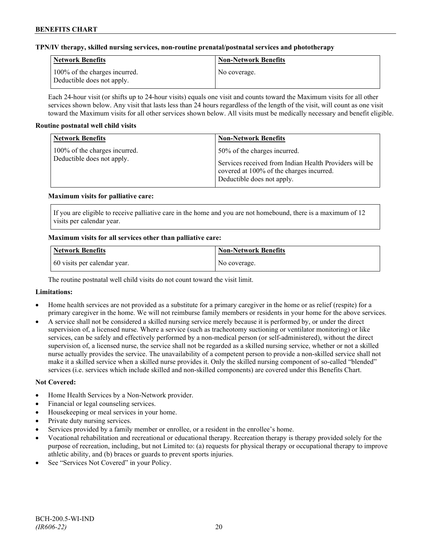### **TPN/IV therapy, skilled nursing services, non-routine prenatal/postnatal services and phototherapy**

| <b>Network Benefits</b>                                     | <b>Non-Network Benefits</b> |
|-------------------------------------------------------------|-----------------------------|
| 100% of the charges incurred.<br>Deductible does not apply. | No coverage.                |

Each 24-hour visit (or shifts up to 24-hour visits) equals one visit and counts toward the Maximum visits for all other services shown below. Any visit that lasts less than 24 hours regardless of the length of the visit, will count as one visit toward the Maximum visits for all other services shown below. All visits must be medically necessary and benefit eligible.

### **Routine postnatal well child visits**

| <b>Network Benefits</b>                                     | <b>Non-Network Benefits</b>                                                                                                                                      |
|-------------------------------------------------------------|------------------------------------------------------------------------------------------------------------------------------------------------------------------|
| 100% of the charges incurred.<br>Deductible does not apply. | 50% of the charges incurred.<br>Services received from Indian Health Providers will be<br>covered at 100% of the charges incurred.<br>Deductible does not apply. |

### **Maximum visits for palliative care:**

If you are eligible to receive palliative care in the home and you are not homebound, there is a maximum of 12 visits per calendar year.

### **Maximum visits for all services other than palliative care:**

| <b>Network Benefits</b>      | <b>Non-Network Benefits</b> |
|------------------------------|-----------------------------|
| 60 visits per calendar year. | No coverage.                |

The routine postnatal well child visits do not count toward the visit limit.

### **Limitations:**

- Home health services are not provided as a substitute for a primary caregiver in the home or as relief (respite) for a primary caregiver in the home. We will not reimburse family members or residents in your home for the above services.
- A service shall not be considered a skilled nursing service merely because it is performed by, or under the direct supervision of, a licensed nurse. Where a service (such as tracheotomy suctioning or ventilator monitoring) or like services, can be safely and effectively performed by a non-medical person (or self-administered), without the direct supervision of, a licensed nurse, the service shall not be regarded as a skilled nursing service, whether or not a skilled nurse actually provides the service. The unavailability of a competent person to provide a non-skilled service shall not make it a skilled service when a skilled nurse provides it. Only the skilled nursing component of so-called "blended" services (i.e. services which include skilled and non-skilled components) are covered under this Benefits Chart.

#### **Not Covered:**

- Home Health Services by a Non-Network provider.
- Financial or legal counseling services.
- Housekeeping or meal services in your home.
- Private duty nursing services.
- Services provided by a family member or enrollee, or a resident in the enrollee's home.
- Vocational rehabilitation and recreational or educational therapy. Recreation therapy is therapy provided solely for the purpose of recreation, including, but not Limited to: (a) requests for physical therapy or occupational therapy to improve athletic ability, and (b) braces or guards to prevent sports injuries.
- See "Services Not Covered" in your Policy.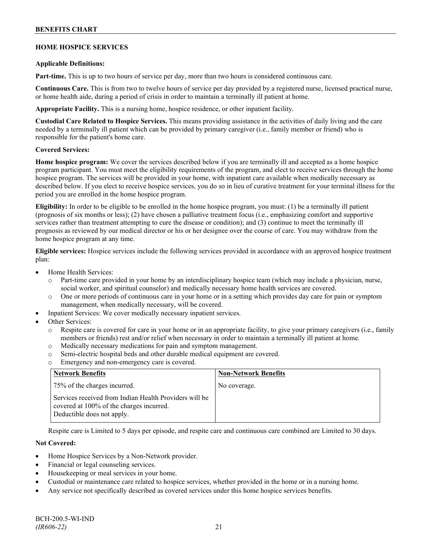### **BENEFITS CHART**

### **HOME HOSPICE SERVICES**

#### **Applicable Definitions:**

**Part-time.** This is up to two hours of service per day, more than two hours is considered continuous care.

**Continuous Care.** This is from two to twelve hours of service per day provided by a registered nurse, licensed practical nurse, or home health aide, during a period of crisis in order to maintain a terminally ill patient at home.

**Appropriate Facility.** This is a nursing home, hospice residence, or other inpatient facility.

**Custodial Care Related to Hospice Services.** This means providing assistance in the activities of daily living and the care needed by a terminally ill patient which can be provided by primary caregiver (i.e., family member or friend) who is responsible for the patient's home care.

### **Covered Services:**

**Home hospice program:** We cover the services described below if you are terminally ill and accepted as a home hospice program participant. You must meet the eligibility requirements of the program, and elect to receive services through the home hospice program. The services will be provided in your home, with inpatient care available when medically necessary as described below. If you elect to receive hospice services, you do so in lieu of curative treatment for your terminal illness for the period you are enrolled in the home hospice program.

**Eligibility:** In order to be eligible to be enrolled in the home hospice program, you must: (1) be a terminally ill patient (prognosis of six months or less); (2) have chosen a palliative treatment focus (i.e., emphasizing comfort and supportive services rather than treatment attempting to cure the disease or condition); and (3) continue to meet the terminally ill prognosis as reviewed by our medical director or his or her designee over the course of care. You may withdraw from the home hospice program at any time.

**Eligible services:** Hospice services include the following services provided in accordance with an approved hospice treatment plan:

- Home Health Services:
	- o Part-time care provided in your home by an interdisciplinary hospice team (which may include a physician, nurse, social worker, and spiritual counselor) and medically necessary home health services are covered.
	- o One or more periods of continuous care in your home or in a setting which provides day care for pain or symptom management, when medically necessary, will be covered.
- Inpatient Services: We cover medically necessary inpatient services.
- Other Services:
	- Respite care is covered for care in your home or in an appropriate facility, to give your primary caregivers (i.e., family members or friends) rest and/or relief when necessary in order to maintain a terminally ill patient at home*.*
	- o Medically necessary medications for pain and symptom management.
	- o Semi-electric hospital beds and other durable medical equipment are covered.
	- o Emergency and non-emergency care is covered.

| <b>Network Benefits</b>                                                                                                          | <b>Non-Network Benefits</b> |
|----------------------------------------------------------------------------------------------------------------------------------|-----------------------------|
| 75% of the charges incurred.                                                                                                     | No coverage.                |
| Services received from Indian Health Providers will be<br>covered at 100% of the charges incurred.<br>Deductible does not apply. |                             |

Respite care is Limited to 5 days per episode, and respite care and continuous care combined are Limited to 30 days.

### **Not Covered:**

- Home Hospice Services by a Non-Network provider.
- Financial or legal counseling services.
- Housekeeping or meal services in your home.
- Custodial or maintenance care related to hospice services, whether provided in the home or in a nursing home.
- Any service not specifically described as covered services under this home hospice services benefits.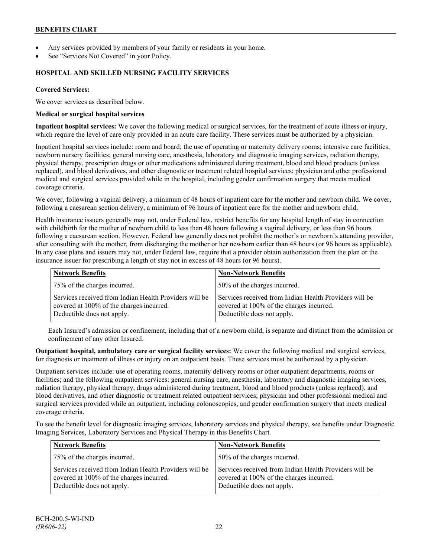- Any services provided by members of your family or residents in your home.
- See "Services Not Covered" in your Policy.

### **HOSPITAL AND SKILLED NURSING FACILITY SERVICES**

### **Covered Services:**

We cover services as described below.

### **Medical or surgical hospital services**

**Inpatient hospital services:** We cover the following medical or surgical services, for the treatment of acute illness or injury, which require the level of care only provided in an acute care facility. These services must be authorized by a physician.

Inpatient hospital services include: room and board; the use of operating or maternity delivery rooms; intensive care facilities; newborn nursery facilities; general nursing care, anesthesia, laboratory and diagnostic imaging services, radiation therapy, physical therapy, prescription drugs or other medications administered during treatment, blood and blood products (unless replaced), and blood derivatives, and other diagnostic or treatment related hospital services; physician and other professional medical and surgical services provided while in the hospital, including gender confirmation surgery that meets medical coverage criteria.

We cover, following a vaginal delivery, a minimum of 48 hours of inpatient care for the mother and newborn child. We cover, following a caesarean section delivery, a minimum of 96 hours of inpatient care for the mother and newborn child.

Health insurance issuers generally may not, under Federal law, restrict benefits for any hospital length of stay in connection with childbirth for the mother of newborn child to less than 48 hours following a vaginal delivery, or less than 96 hours following a caesarean section. However, Federal law generally does not prohibit the mother's or newborn's attending provider, after consulting with the mother, from discharging the mother or her newborn earlier than 48 hours (or 96 hours as applicable). In any case plans and issuers may not, under Federal law, require that a provider obtain authorization from the plan or the insurance issuer for prescribing a length of stay not in excess of 48 hours (or 96 hours).

| <b>Network Benefits</b>                                                                                                          | <b>Non-Network Benefits</b>                                                                                                      |
|----------------------------------------------------------------------------------------------------------------------------------|----------------------------------------------------------------------------------------------------------------------------------|
| 75% of the charges incurred.                                                                                                     | 50% of the charges incurred.                                                                                                     |
| Services received from Indian Health Providers will be<br>covered at 100% of the charges incurred.<br>Deductible does not apply. | Services received from Indian Health Providers will be<br>covered at 100% of the charges incurred.<br>Deductible does not apply. |

Each Insured's admission or confinement, including that of a newborn child, is separate and distinct from the admission or confinement of any other Insured.

**Outpatient hospital, ambulatory care or surgical facility services:** We cover the following medical and surgical services, for diagnosis or treatment of illness or injury on an outpatient basis. These services must be authorized by a physician.

Outpatient services include: use of operating rooms, maternity delivery rooms or other outpatient departments, rooms or facilities; and the following outpatient services: general nursing care, anesthesia, laboratory and diagnostic imaging services, radiation therapy, physical therapy, drugs administered during treatment, blood and blood products (unless replaced), and blood derivatives, and other diagnostic or treatment related outpatient services; physician and other professional medical and surgical services provided while an outpatient, including colonoscopies, and gender confirmation surgery that meets medical coverage criteria.

To see the benefit level for diagnostic imaging services, laboratory services and physical therapy, see benefits under Diagnostic Imaging Services, Laboratory Services and Physical Therapy in this Benefits Chart.

| <b>Network Benefits</b>                                                                                                          | <b>Non-Network Benefits</b>                                                                                                      |
|----------------------------------------------------------------------------------------------------------------------------------|----------------------------------------------------------------------------------------------------------------------------------|
| 75% of the charges incurred.                                                                                                     | 50% of the charges incurred.                                                                                                     |
| Services received from Indian Health Providers will be<br>covered at 100% of the charges incurred.<br>Deductible does not apply. | Services received from Indian Health Providers will be<br>covered at 100% of the charges incurred.<br>Deductible does not apply. |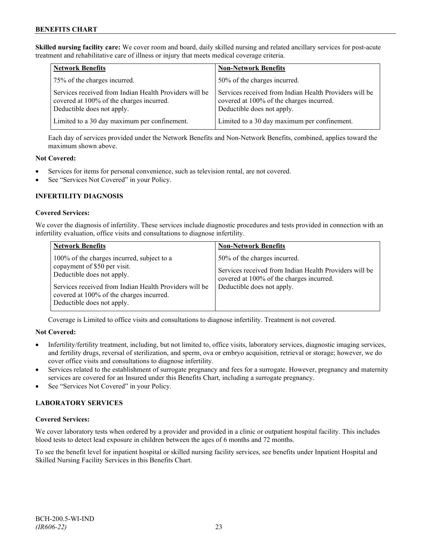**Skilled nursing facility care:** We cover room and board, daily skilled nursing and related ancillary services for post-acute treatment and rehabilitative care of illness or injury that meets medical coverage criteria.

| <b>Network Benefits</b>                                                                                                          | <b>Non-Network Benefits</b>                                                                                                      |
|----------------------------------------------------------------------------------------------------------------------------------|----------------------------------------------------------------------------------------------------------------------------------|
| 75% of the charges incurred.                                                                                                     | 50% of the charges incurred.                                                                                                     |
| Services received from Indian Health Providers will be<br>covered at 100% of the charges incurred.<br>Deductible does not apply. | Services received from Indian Health Providers will be<br>covered at 100% of the charges incurred.<br>Deductible does not apply. |
| Limited to a 30 day maximum per confinement.                                                                                     | Limited to a 30 day maximum per confinement.                                                                                     |

Each day of services provided under the Network Benefits and Non-Network Benefits, combined, applies toward the maximum shown above.

### **Not Covered:**

- Services for items for personal convenience, such as television rental, are not covered.
- See "Services Not Covered" in your Policy.

### **INFERTILITY DIAGNOSIS**

### **Covered Services:**

We cover the diagnosis of infertility. These services include diagnostic procedures and tests provided in connection with an infertility evaluation, office visits and consultations to diagnose infertility.

| <b>Network Benefits</b>                                                                                                                                                                                                                      | <b>Non-Network Benefits</b>                                                                                                                                      |
|----------------------------------------------------------------------------------------------------------------------------------------------------------------------------------------------------------------------------------------------|------------------------------------------------------------------------------------------------------------------------------------------------------------------|
| 100% of the charges incurred, subject to a<br>copayment of \$50 per visit.<br>Deductible does not apply.<br>Services received from Indian Health Providers will be<br>covered at 100% of the charges incurred.<br>Deductible does not apply. | 50% of the charges incurred.<br>Services received from Indian Health Providers will be<br>covered at 100% of the charges incurred.<br>Deductible does not apply. |

Coverage is Limited to office visits and consultations to diagnose infertility. Treatment is not covered.

### **Not Covered:**

- Infertility/fertility treatment, including, but not limited to, office visits, laboratory services, diagnostic imaging services, and fertility drugs, reversal of sterilization, and sperm, ova or embryo acquisition, retrieval or storage; however, we do cover office visits and consultations to diagnose infertility.
- Services related to the establishment of surrogate pregnancy and fees for a surrogate. However, pregnancy and maternity services are covered for an Insured under this Benefits Chart, including a surrogate pregnancy.
- See "Services Not Covered" in your Policy.

### **LABORATORY SERVICES**

### **Covered Services:**

We cover laboratory tests when ordered by a provider and provided in a clinic or outpatient hospital facility. This includes blood tests to detect lead exposure in children between the ages of 6 months and 72 months.

To see the benefit level for inpatient hospital or skilled nursing facility services, see benefits under Inpatient Hospital and Skilled Nursing Facility Services in this Benefits Chart.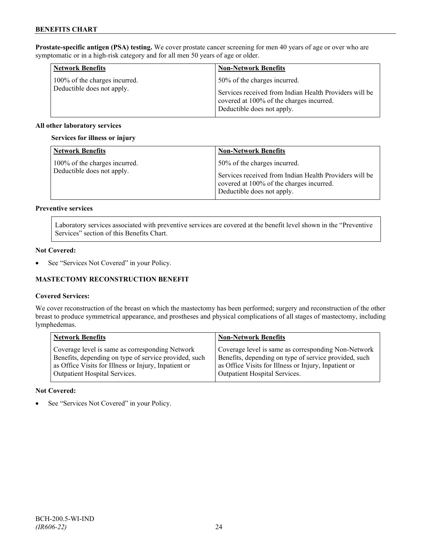**Prostate-specific antigen (PSA) testing.** We cover prostate cancer screening for men 40 years of age or over who are symptomatic or in a high-risk category and for all men 50 years of age or older.

| <b>Network Benefits</b>       | <b>Non-Network Benefits</b>                                                                                                      |
|-------------------------------|----------------------------------------------------------------------------------------------------------------------------------|
| 100% of the charges incurred. | 50% of the charges incurred.                                                                                                     |
| Deductible does not apply.    | Services received from Indian Health Providers will be<br>covered at 100% of the charges incurred.<br>Deductible does not apply. |

### **All other laboratory services**

#### **Services for illness or injury**

| <b>Network Benefits</b>                                     | <b>Non-Network Benefits</b>                                                                                                                                      |
|-------------------------------------------------------------|------------------------------------------------------------------------------------------------------------------------------------------------------------------|
| 100% of the charges incurred.<br>Deductible does not apply. | 50% of the charges incurred.<br>Services received from Indian Health Providers will be<br>covered at 100% of the charges incurred.<br>Deductible does not apply. |

### **Preventive services**

Laboratory services associated with preventive services are covered at the benefit level shown in the "Preventive Services" section of this Benefits Chart.

### **Not Covered:**

• See "Services Not Covered" in your Policy.

### **MASTECTOMY RECONSTRUCTION BENEFIT**

### **Covered Services:**

We cover reconstruction of the breast on which the mastectomy has been performed; surgery and reconstruction of the other breast to produce symmetrical appearance, and prostheses and physical complications of all stages of mastectomy, including lymphedemas.

| <b>Network Benefits</b>                               | <b>Non-Network Benefits</b>                           |
|-------------------------------------------------------|-------------------------------------------------------|
| Coverage level is same as corresponding Network       | Coverage level is same as corresponding Non-Network   |
| Benefits, depending on type of service provided, such | Benefits, depending on type of service provided, such |
| as Office Visits for Illness or Injury, Inpatient or  | as Office Visits for Illness or Injury, Inpatient or  |
| Outpatient Hospital Services.                         | Outpatient Hospital Services.                         |

### **Not Covered:**

See "Services Not Covered" in your Policy.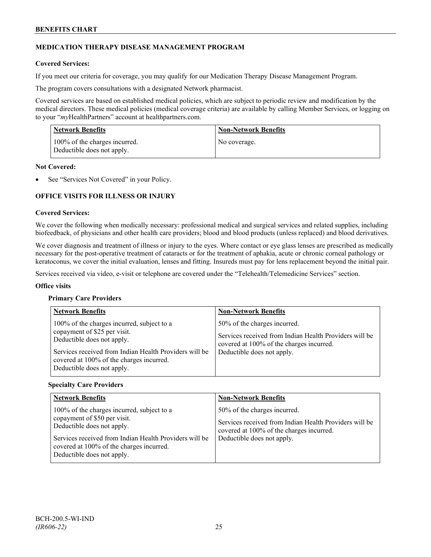### **MEDICATION THERAPY DISEASE MANAGEMENT PROGRAM**

### **Covered Services:**

If you meet our criteria for coverage, you may qualify for our Medication Therapy Disease Management Program.

The program covers consultations with a designated Network pharmacist.

Covered services are based on established medical policies, which are subject to periodic review and modification by the medical directors. These medical policies (medical coverage criteria) are available by calling Member Services, or logging on to your "*my*HealthPartners" account at [healthpartners.com.](http://www.healthpartners.com/)

| <b>Network Benefits</b>                                     | <b>Non-Network Benefits</b> |
|-------------------------------------------------------------|-----------------------------|
| 100% of the charges incurred.<br>Deductible does not apply. | No coverage.                |

### **Not Covered:**

See "Services Not Covered" in your Policy.

### **OFFICE VISITS FOR ILLNESS OR INJURY**

### **Covered Services:**

We cover the following when medically necessary: professional medical and surgical services and related supplies, including biofeedback, of physicians and other health care providers; blood and blood products (unless replaced) and blood derivatives.

We cover diagnosis and treatment of illness or injury to the eyes. Where contact or eye glass lenses are prescribed as medically necessary for the post-operative treatment of cataracts or for the treatment of aphakia, acute or chronic corneal pathology or keratoconus, we cover the initial evaluation, lenses and fitting. Insureds must pay for lens replacement beyond the initial pair.

Services received via video, e-visit or telephone are covered under the "Telehealth/Telemedicine Services" section.

#### **Office visits**

### **Primary Care Providers**

| <b>Network Benefits</b>                                                                                                                                                                                                                      | <b>Non-Network Benefits</b>                                                                                                                                      |
|----------------------------------------------------------------------------------------------------------------------------------------------------------------------------------------------------------------------------------------------|------------------------------------------------------------------------------------------------------------------------------------------------------------------|
| 100% of the charges incurred, subject to a<br>copayment of \$25 per visit.<br>Deductible does not apply.<br>Services received from Indian Health Providers will be<br>covered at 100% of the charges incurred.<br>Deductible does not apply. | 50% of the charges incurred.<br>Services received from Indian Health Providers will be<br>covered at 100% of the charges incurred.<br>Deductible does not apply. |

#### **Specialty Care Providers**

| <b>Network Benefits</b>                                                                                                                                                                                                                      | <b>Non-Network Benefits</b>                                                                                                                                      |
|----------------------------------------------------------------------------------------------------------------------------------------------------------------------------------------------------------------------------------------------|------------------------------------------------------------------------------------------------------------------------------------------------------------------|
| 100% of the charges incurred, subject to a<br>copayment of \$50 per visit.<br>Deductible does not apply.<br>Services received from Indian Health Providers will be<br>covered at 100% of the charges incurred.<br>Deductible does not apply. | 50% of the charges incurred.<br>Services received from Indian Health Providers will be<br>covered at 100% of the charges incurred.<br>Deductible does not apply. |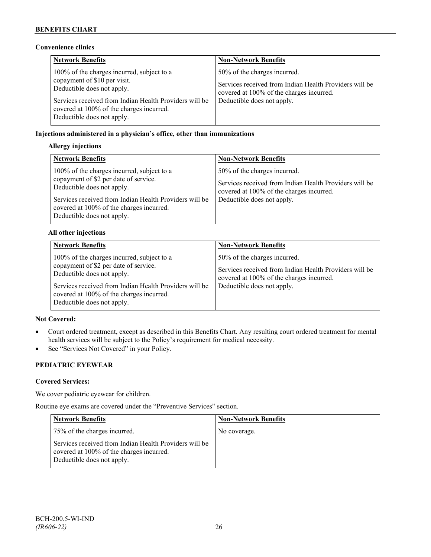### **Convenience clinics**

| <b>Network Benefits</b>                                                                                                                                                                                                                      | <b>Non-Network Benefits</b>                                                                                                                                      |
|----------------------------------------------------------------------------------------------------------------------------------------------------------------------------------------------------------------------------------------------|------------------------------------------------------------------------------------------------------------------------------------------------------------------|
| 100% of the charges incurred, subject to a<br>copayment of \$10 per visit.<br>Deductible does not apply.<br>Services received from Indian Health Providers will be<br>covered at 100% of the charges incurred.<br>Deductible does not apply. | 50% of the charges incurred.<br>Services received from Indian Health Providers will be<br>covered at 100% of the charges incurred.<br>Deductible does not apply. |

### **Injections administered in a physician's office, other than immunizations**

### **Allergy injections**

| <b>Network Benefits</b>                                                                                                                                                                                                                               | <b>Non-Network Benefits</b>                                                                                                                                      |
|-------------------------------------------------------------------------------------------------------------------------------------------------------------------------------------------------------------------------------------------------------|------------------------------------------------------------------------------------------------------------------------------------------------------------------|
| 100% of the charges incurred, subject to a<br>copayment of \$2 per date of service.<br>Deductible does not apply.<br>Services received from Indian Health Providers will be<br>covered at 100% of the charges incurred.<br>Deductible does not apply. | 50% of the charges incurred.<br>Services received from Indian Health Providers will be<br>covered at 100% of the charges incurred.<br>Deductible does not apply. |

### **All other injections**

| <b>Network Benefits</b>                                                                                                                                                                                                                               | <b>Non-Network Benefits</b>                                                                                                                                      |
|-------------------------------------------------------------------------------------------------------------------------------------------------------------------------------------------------------------------------------------------------------|------------------------------------------------------------------------------------------------------------------------------------------------------------------|
| 100% of the charges incurred, subject to a<br>copayment of \$2 per date of service.<br>Deductible does not apply.<br>Services received from Indian Health Providers will be<br>covered at 100% of the charges incurred.<br>Deductible does not apply. | 50% of the charges incurred.<br>Services received from Indian Health Providers will be<br>covered at 100% of the charges incurred.<br>Deductible does not apply. |

### **Not Covered:**

- Court ordered treatment, except as described in this Benefits Chart. Any resulting court ordered treatment for mental health services will be subject to the Policy's requirement for medical necessity.
- See "Services Not Covered" in your Policy.

# **PEDIATRIC EYEWEAR**

### **Covered Services:**

We cover pediatric eyewear for children.

Routine eye exams are covered under the "Preventive Services" section.

| <b>Network Benefits</b>                                                                                                          | Non-Network Benefits |
|----------------------------------------------------------------------------------------------------------------------------------|----------------------|
| 75% of the charges incurred.                                                                                                     | No coverage.         |
| Services received from Indian Health Providers will be<br>covered at 100% of the charges incurred.<br>Deductible does not apply. |                      |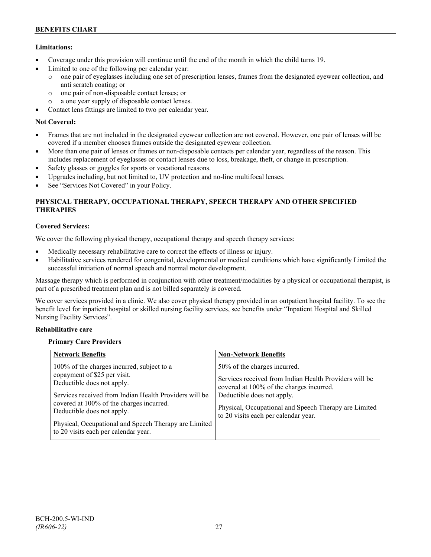### **Limitations:**

- Coverage under this provision will continue until the end of the month in which the child turns 19.
- Limited to one of the following per calendar year:
	- o one pair of eyeglasses including one set of prescription lenses, frames from the designated eyewear collection, and anti scratch coating; or
	- o one pair of non-disposable contact lenses; or
	- o a one year supply of disposable contact lenses.
- Contact lens fittings are limited to two per calendar year.

### **Not Covered:**

- Frames that are not included in the designated eyewear collection are not covered. However, one pair of lenses will be covered if a member chooses frames outside the designated eyewear collection.
- More than one pair of lenses or frames or non-disposable contacts per calendar year, regardless of the reason. This includes replacement of eyeglasses or contact lenses due to loss, breakage, theft, or change in prescription.
- Safety glasses or goggles for sports or vocational reasons.
- Upgrades including, but not limited to, UV protection and no-line multifocal lenses.
- See "Services Not Covered" in your Policy.

### **PHYSICAL THERAPY, OCCUPATIONAL THERAPY, SPEECH THERAPY AND OTHER SPECIFIED THERAPIES**

### **Covered Services:**

We cover the following physical therapy, occupational therapy and speech therapy services:

- Medically necessary rehabilitative care to correct the effects of illness or injury.
- Habilitative services rendered for congenital, developmental or medical conditions which have significantly Limited the successful initiation of normal speech and normal motor development.

Massage therapy which is performed in conjunction with other treatment/modalities by a physical or occupational therapist, is part of a prescribed treatment plan and is not billed separately is covered.

We cover services provided in a clinic. We also cover physical therapy provided in an outpatient hospital facility. To see the benefit level for inpatient hospital or skilled nursing facility services, see benefits under "Inpatient Hospital and Skilled Nursing Facility Services".

### **Rehabilitative care**

### **Primary Care Providers**

| <b>Network Benefits</b>                                                                                                                                                                                                                                                                                                                       | <b>Non-Network Benefits</b>                                                                                                                                                                                                                                       |
|-----------------------------------------------------------------------------------------------------------------------------------------------------------------------------------------------------------------------------------------------------------------------------------------------------------------------------------------------|-------------------------------------------------------------------------------------------------------------------------------------------------------------------------------------------------------------------------------------------------------------------|
| 100% of the charges incurred, subject to a<br>copayment of \$25 per visit.<br>Deductible does not apply.<br>Services received from Indian Health Providers will be<br>covered at 100% of the charges incurred.<br>Deductible does not apply.<br>Physical, Occupational and Speech Therapy are Limited<br>to 20 visits each per calendar year. | 50% of the charges incurred.<br>Services received from Indian Health Providers will be<br>covered at 100% of the charges incurred.<br>Deductible does not apply.<br>Physical, Occupational and Speech Therapy are Limited<br>to 20 visits each per calendar year. |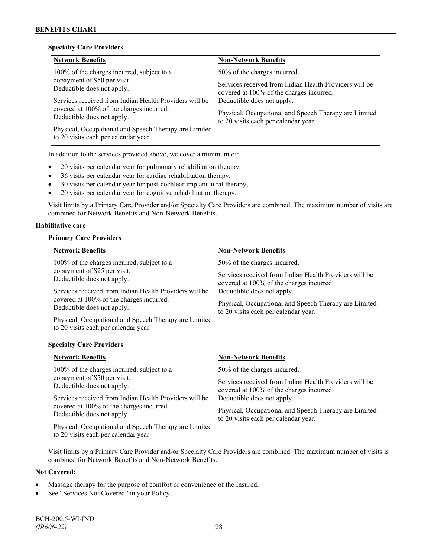### **Specialty Care Providers**

| <b>Network Benefits</b>                                                                                                                                                                                                                                                                                                                       | <b>Non-Network Benefits</b>                                                                                                                                                                                                                                       |
|-----------------------------------------------------------------------------------------------------------------------------------------------------------------------------------------------------------------------------------------------------------------------------------------------------------------------------------------------|-------------------------------------------------------------------------------------------------------------------------------------------------------------------------------------------------------------------------------------------------------------------|
| 100% of the charges incurred, subject to a<br>copayment of \$50 per visit.<br>Deductible does not apply.<br>Services received from Indian Health Providers will be<br>covered at 100% of the charges incurred.<br>Deductible does not apply.<br>Physical, Occupational and Speech Therapy are Limited<br>to 20 visits each per calendar year. | 50% of the charges incurred.<br>Services received from Indian Health Providers will be<br>covered at 100% of the charges incurred.<br>Deductible does not apply.<br>Physical, Occupational and Speech Therapy are Limited<br>to 20 visits each per calendar year. |

In addition to the services provided above, we cover a minimum of:

- 20 visits per calendar year for pulmonary rehabilitation therapy,
- 36 visits per calendar year for cardiac rehabilitation therapy,
- 30 visits per calendar year for post-cochlear implant aural therapy,
- 20 visits per calendar year for cognitive rehabilitation therapy.

Visit limits by a Primary Care Provider and/or Specialty Care Providers are combined. The maximum number of visits are combined for Network Benefits and Non-Network Benefits.

### **Habilitative care**

### **Primary Care Providers**

| <b>Network Benefits</b>                                                                                                                                                                                                                                                                               | <b>Non-Network Benefits</b>                                                                                                                                                                                                                                       |
|-------------------------------------------------------------------------------------------------------------------------------------------------------------------------------------------------------------------------------------------------------------------------------------------------------|-------------------------------------------------------------------------------------------------------------------------------------------------------------------------------------------------------------------------------------------------------------------|
| 100% of the charges incurred, subject to a<br>copayment of \$25 per visit.<br>Deductible does not apply.<br>Services received from Indian Health Providers will be<br>covered at 100% of the charges incurred.<br>Deductible does not apply.<br>Physical, Occupational and Speech Therapy are Limited | 50% of the charges incurred.<br>Services received from Indian Health Providers will be<br>covered at 100% of the charges incurred.<br>Deductible does not apply.<br>Physical, Occupational and Speech Therapy are Limited<br>to 20 visits each per calendar year. |
| to 20 visits each per calendar year.                                                                                                                                                                                                                                                                  |                                                                                                                                                                                                                                                                   |

### **Specialty Care Providers**

| <b>Network Benefits</b>                                                                                                                                                                                                                                                                                                                       | <b>Non-Network Benefits</b>                                                                                                                                                                                                                                       |
|-----------------------------------------------------------------------------------------------------------------------------------------------------------------------------------------------------------------------------------------------------------------------------------------------------------------------------------------------|-------------------------------------------------------------------------------------------------------------------------------------------------------------------------------------------------------------------------------------------------------------------|
| 100% of the charges incurred, subject to a<br>copayment of \$50 per visit.<br>Deductible does not apply.<br>Services received from Indian Health Providers will be<br>covered at 100% of the charges incurred.<br>Deductible does not apply.<br>Physical, Occupational and Speech Therapy are Limited<br>to 20 visits each per calendar year. | 50% of the charges incurred.<br>Services received from Indian Health Providers will be<br>covered at 100% of the charges incurred.<br>Deductible does not apply.<br>Physical, Occupational and Speech Therapy are Limited<br>to 20 visits each per calendar year. |

Visit limits by a Primary Care Provider and/or Specialty Care Providers are combined. The maximum number of visits is combined for Network Benefits and Non-Network Benefits.

### **Not Covered:**

- Massage therapy for the purpose of comfort or convenience of the Insured.
- See "Services Not Covered" in your Policy.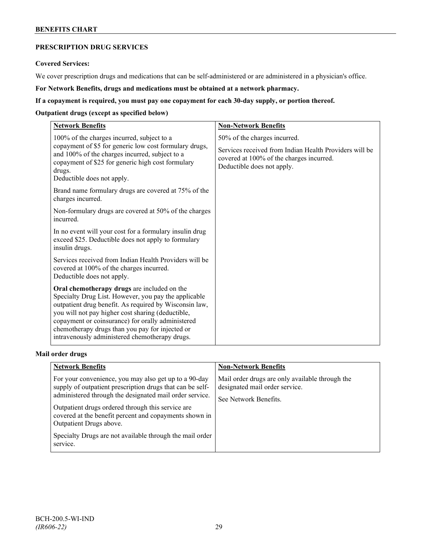### **BENEFITS CHART**

# **PRESCRIPTION DRUG SERVICES**

### **Covered Services:**

We cover prescription drugs and medications that can be self-administered or are administered in a physician's office.

**For Network Benefits, drugs and medications must be obtained at a network pharmacy.**

### **If a copayment is required, you must pay one copayment for each 30-day supply, or portion thereof.**

### **Outpatient drugs (except as specified below)**

| <b>Network Benefits</b>                                                                                                                                                                                                                                                                                                                                                      | <b>Non-Network Benefits</b>                                                                                                      |
|------------------------------------------------------------------------------------------------------------------------------------------------------------------------------------------------------------------------------------------------------------------------------------------------------------------------------------------------------------------------------|----------------------------------------------------------------------------------------------------------------------------------|
| 100% of the charges incurred, subject to a                                                                                                                                                                                                                                                                                                                                   | 50% of the charges incurred.                                                                                                     |
| copayment of \$5 for generic low cost formulary drugs,<br>and 100% of the charges incurred, subject to a<br>copayment of \$25 for generic high cost formulary<br>drugs.<br>Deductible does not apply.                                                                                                                                                                        | Services received from Indian Health Providers will be<br>covered at 100% of the charges incurred.<br>Deductible does not apply. |
| Brand name formulary drugs are covered at 75% of the<br>charges incurred.                                                                                                                                                                                                                                                                                                    |                                                                                                                                  |
| Non-formulary drugs are covered at 50% of the charges<br>incurred.                                                                                                                                                                                                                                                                                                           |                                                                                                                                  |
| In no event will your cost for a formulary insulin drug<br>exceed \$25. Deductible does not apply to formulary<br>insulin drugs.                                                                                                                                                                                                                                             |                                                                                                                                  |
| Services received from Indian Health Providers will be<br>covered at 100% of the charges incurred.<br>Deductible does not apply.                                                                                                                                                                                                                                             |                                                                                                                                  |
| Oral chemotherapy drugs are included on the<br>Specialty Drug List. However, you pay the applicable<br>outpatient drug benefit. As required by Wisconsin law,<br>you will not pay higher cost sharing (deductible,<br>copayment or coinsurance) for orally administered<br>chemotherapy drugs than you pay for injected or<br>intravenously administered chemotherapy drugs. |                                                                                                                                  |

### **Mail order drugs**

| <b>Network Benefits</b>                                                                                                                                                                                                                                                                                                                                                                         | <b>Non-Network Benefits</b>                                                                                |
|-------------------------------------------------------------------------------------------------------------------------------------------------------------------------------------------------------------------------------------------------------------------------------------------------------------------------------------------------------------------------------------------------|------------------------------------------------------------------------------------------------------------|
| For your convenience, you may also get up to a 90-day<br>supply of outpatient prescription drugs that can be self-<br>administered through the designated mail order service.<br>Outpatient drugs ordered through this service are<br>covered at the benefit percent and copayments shown in<br>Outpatient Drugs above.<br>Specialty Drugs are not available through the mail order<br>service. | Mail order drugs are only available through the<br>designated mail order service.<br>See Network Benefits. |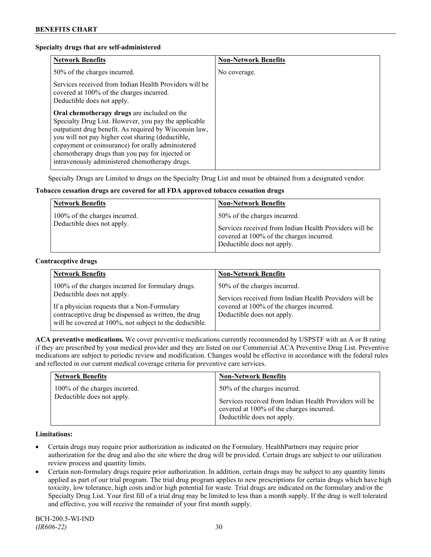### **Specialty drugs that are self-administered**

| <b>Network Benefits</b>                                                                                                                                                                                                                                                                                                                                                      | <b>Non-Network Benefits</b> |
|------------------------------------------------------------------------------------------------------------------------------------------------------------------------------------------------------------------------------------------------------------------------------------------------------------------------------------------------------------------------------|-----------------------------|
| 50% of the charges incurred.                                                                                                                                                                                                                                                                                                                                                 | No coverage.                |
| Services received from Indian Health Providers will be<br>covered at 100% of the charges incurred.<br>Deductible does not apply.                                                                                                                                                                                                                                             |                             |
| Oral chemotherapy drugs are included on the<br>Specialty Drug List. However, you pay the applicable<br>outpatient drug benefit. As required by Wisconsin law,<br>you will not pay higher cost sharing (deductible,<br>copayment or coinsurance) for orally administered<br>chemotherapy drugs than you pay for injected or<br>intravenously administered chemotherapy drugs. |                             |

Specialty Drugs are Limited to drugs on the Specialty Drug List and must be obtained from a designated vendor.

### **Tobacco cessation drugs are covered for all FDA approved tobacco cessation drugs**

| <b>Network Benefits</b>                                     | <b>Non-Network Benefits</b>                                                                                                                                      |
|-------------------------------------------------------------|------------------------------------------------------------------------------------------------------------------------------------------------------------------|
| 100% of the charges incurred.<br>Deductible does not apply. | 50% of the charges incurred.<br>Services received from Indian Health Providers will be<br>covered at 100% of the charges incurred.<br>Deductible does not apply. |

#### **Contraceptive drugs**

| <b>Network Benefits</b>                                                                                                                                                                                                                            | <b>Non-Network Benefits</b>                                                                                                                                      |
|----------------------------------------------------------------------------------------------------------------------------------------------------------------------------------------------------------------------------------------------------|------------------------------------------------------------------------------------------------------------------------------------------------------------------|
| 100% of the charges incurred for formulary drugs.<br>Deductible does not apply.<br>If a physician requests that a Non-Formulary<br>contraceptive drug be dispensed as written, the drug<br>will be covered at 100%, not subject to the deductible. | 50% of the charges incurred.<br>Services received from Indian Health Providers will be<br>covered at 100% of the charges incurred.<br>Deductible does not apply. |

**ACA preventive medications.** We cover preventive medications currently recommended by USPSTF with an A or B rating if they are prescribed by your medical provider and they are listed on our Commercial ACA Preventive Drug List. Preventive medications are subject to periodic review and modification. Changes would be effective in accordance with the federal rules and reflected in our current medical coverage criteria for preventive care services.

| <b>Network Benefits</b>       | <b>Non-Network Benefits</b>                                                                                                      |
|-------------------------------|----------------------------------------------------------------------------------------------------------------------------------|
| 100% of the charges incurred. | 50% of the charges incurred.                                                                                                     |
| Deductible does not apply.    | Services received from Indian Health Providers will be<br>covered at 100% of the charges incurred.<br>Deductible does not apply. |

### **Limitations:**

- Certain drugs may require prior authorization as indicated on the Formulary. HealthPartners may require prior authorization for the drug and also the site where the drug will be provided. Certain drugs are subject to our utilization review process and quantity limits.
- Certain non-formulary drugs require prior authorization. In addition, certain drugs may be subject to any quantity limits applied as part of our trial program. The trial drug program applies to new prescriptions for certain drugs which have high toxicity, low tolerance, high costs and/or high potential for waste. Trial drugs are indicated on the formulary and/or the Specialty Drug List. Your first fill of a trial drug may be limited to less than a month supply. If the drug is well tolerated and effective, you will receive the remainder of your first month supply.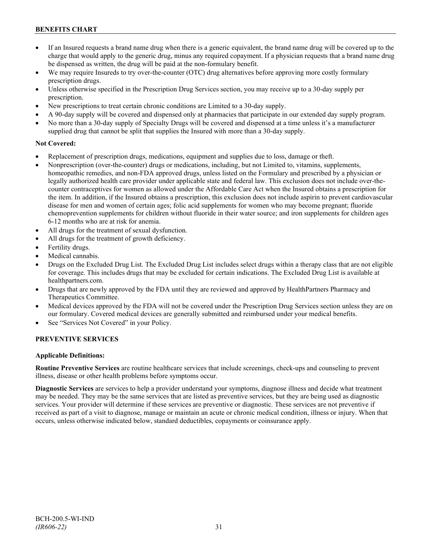## **BENEFITS CHART**

- If an Insured requests a brand name drug when there is a generic equivalent, the brand name drug will be covered up to the charge that would apply to the generic drug, minus any required copayment. If a physician requests that a brand name drug be dispensed as written, the drug will be paid at the non-formulary benefit.
- We may require Insureds to try over-the-counter (OTC) drug alternatives before approving more costly formulary prescription drugs.
- Unless otherwise specified in the Prescription Drug Services section, you may receive up to a 30-day supply per prescription.
- New prescriptions to treat certain chronic conditions are Limited to a 30-day supply.
- A 90-day supply will be covered and dispensed only at pharmacies that participate in our extended day supply program.
- No more than a 30-day supply of Specialty Drugs will be covered and dispensed at a time unless it's a manufacturer supplied drug that cannot be split that supplies the Insured with more than a 30-day supply.

### **Not Covered:**

- Replacement of prescription drugs, medications, equipment and supplies due to loss, damage or theft.
- Nonprescription (over-the-counter) drugs or medications, including, but not Limited to, vitamins, supplements, homeopathic remedies, and non-FDA approved drugs, unless listed on the Formulary and prescribed by a physician or legally authorized health care provider under applicable state and federal law. This exclusion does not include over-thecounter contraceptives for women as allowed under the Affordable Care Act when the Insured obtains a prescription for the item. In addition, if the Insured obtains a prescription, this exclusion does not include aspirin to prevent cardiovascular disease for men and women of certain ages; folic acid supplements for women who may become pregnant; fluoride chemoprevention supplements for children without fluoride in their water source; and iron supplements for children ages 6-12 months who are at risk for anemia.
- All drugs for the treatment of sexual dysfunction.
- All drugs for the treatment of growth deficiency.
- Fertility drugs.
- Medical cannabis.
- Drugs on the Excluded Drug List. The Excluded Drug List includes select drugs within a therapy class that are not eligible for coverage. This includes drugs that may be excluded for certain indications. The Excluded Drug List is available at [healthpartners.com.](http://www.healthpartners.com/)
- Drugs that are newly approved by the FDA until they are reviewed and approved by HealthPartners Pharmacy and Therapeutics Committee.
- Medical devices approved by the FDA will not be covered under the Prescription Drug Services section unless they are on our formulary. Covered medical devices are generally submitted and reimbursed under your medical benefits.
- See "Services Not Covered" in your Policy.

### **PREVENTIVE SERVICES**

### **Applicable Definitions:**

**Routine Preventive Services** are routine healthcare services that include screenings, check-ups and counseling to prevent illness, disease or other health problems before symptoms occur.

**Diagnostic Services** are services to help a provider understand your symptoms, diagnose illness and decide what treatment may be needed. They may be the same services that are listed as preventive services, but they are being used as diagnostic services. Your provider will determine if these services are preventive or diagnostic. These services are not preventive if received as part of a visit to diagnose, manage or maintain an acute or chronic medical condition, illness or injury. When that occurs, unless otherwise indicated below, standard deductibles, copayments or coinsurance apply.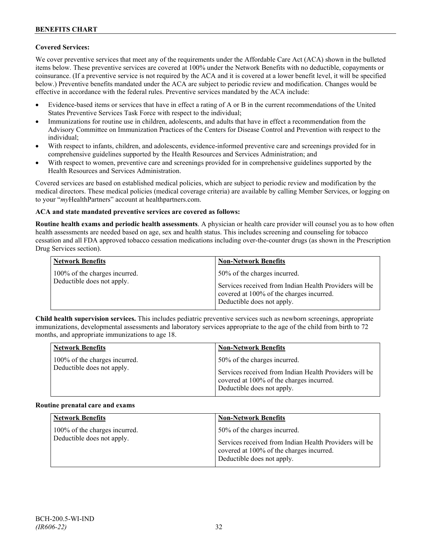### **Covered Services:**

We cover preventive services that meet any of the requirements under the Affordable Care Act (ACA) shown in the bulleted items below. These preventive services are covered at 100% under the Network Benefits with no deductible, copayments or coinsurance. (If a preventive service is not required by the ACA and it is covered at a lower benefit level, it will be specified below.) Preventive benefits mandated under the ACA are subject to periodic review and modification. Changes would be effective in accordance with the federal rules. Preventive services mandated by the ACA include:

- Evidence-based items or services that have in effect a rating of A or B in the current recommendations of the United States Preventive Services Task Force with respect to the individual;
- Immunizations for routine use in children, adolescents, and adults that have in effect a recommendation from the Advisory Committee on Immunization Practices of the Centers for Disease Control and Prevention with respect to the individual;
- With respect to infants, children, and adolescents, evidence-informed preventive care and screenings provided for in comprehensive guidelines supported by the Health Resources and Services Administration; and
- With respect to women, preventive care and screenings provided for in comprehensive guidelines supported by the Health Resources and Services Administration.

Covered services are based on established medical policies, which are subject to periodic review and modification by the medical directors. These medical policies (medical coverage criteria) are available by calling Member Services, or logging on to your "*my*HealthPartners" account at [healthpartners.com.](http://www.healthpartners.com/)

### **ACA and state mandated preventive services are covered as follows:**

**Routine health exams and periodic health assessments**. A physician or health care provider will counsel you as to how often health assessments are needed based on age, sex and health status. This includes screening and counseling for tobacco cessation and all FDA approved tobacco cessation medications including over-the-counter drugs (as shown in the Prescription Drug Services section).

| <b>Network Benefits</b>                                     | <b>Non-Network Benefits</b>                                                                                                                                      |
|-------------------------------------------------------------|------------------------------------------------------------------------------------------------------------------------------------------------------------------|
| 100% of the charges incurred.<br>Deductible does not apply. | 50% of the charges incurred.<br>Services received from Indian Health Providers will be<br>covered at 100% of the charges incurred.<br>Deductible does not apply. |

**Child health supervision services.** This includes pediatric preventive services such as newborn screenings, appropriate immunizations, developmental assessments and laboratory services appropriate to the age of the child from birth to 72 months, and appropriate immunizations to age 18.

| <b>Network Benefits</b>       | <b>Non-Network Benefits</b>                                                                                                      |
|-------------------------------|----------------------------------------------------------------------------------------------------------------------------------|
| 100% of the charges incurred. | 50% of the charges incurred.                                                                                                     |
| Deductible does not apply.    | Services received from Indian Health Providers will be<br>covered at 100% of the charges incurred.<br>Deductible does not apply. |

#### **Routine prenatal care and exams**

| <b>Network Benefits</b>                                     | <b>Non-Network Benefits</b>                                                                                                                                      |
|-------------------------------------------------------------|------------------------------------------------------------------------------------------------------------------------------------------------------------------|
| 100% of the charges incurred.<br>Deductible does not apply. | 50% of the charges incurred.<br>Services received from Indian Health Providers will be<br>covered at 100% of the charges incurred.<br>Deductible does not apply. |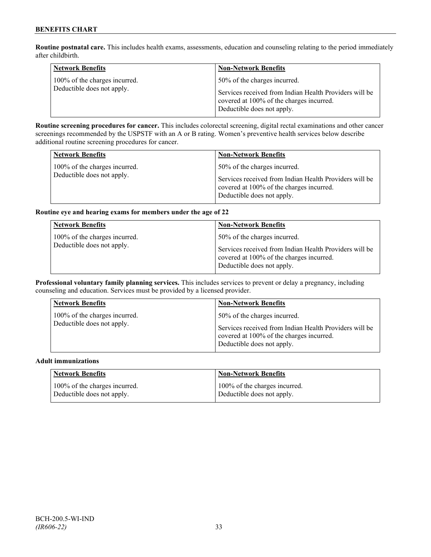**Routine postnatal care.** This includes health exams, assessments, education and counseling relating to the period immediately after childbirth.

| <b>Network Benefits</b>                                     | <b>Non-Network Benefits</b>                                                                                                                                      |
|-------------------------------------------------------------|------------------------------------------------------------------------------------------------------------------------------------------------------------------|
| 100% of the charges incurred.<br>Deductible does not apply. | 50% of the charges incurred.<br>Services received from Indian Health Providers will be<br>covered at 100% of the charges incurred.<br>Deductible does not apply. |

**Routine screening procedures for cancer.** This includes colorectal screening, digital rectal examinations and other cancer screenings recommended by the USPSTF with an A or B rating. Women's preventive health services below describe additional routine screening procedures for cancer.

| <b>Network Benefits</b>                                     | <b>Non-Network Benefits</b>                                                            |
|-------------------------------------------------------------|----------------------------------------------------------------------------------------|
| 100% of the charges incurred.<br>Deductible does not apply. | 50% of the charges incurred.<br>Services received from Indian Health Providers will be |
|                                                             | covered at 100% of the charges incurred.<br>Deductible does not apply.                 |

### **Routine eye and hearing exams for members under the age of 22**

| <b>Network Benefits</b>                                     | <b>Non-Network Benefits</b>                                                                                                                                      |
|-------------------------------------------------------------|------------------------------------------------------------------------------------------------------------------------------------------------------------------|
| 100% of the charges incurred.<br>Deductible does not apply. | 50% of the charges incurred.<br>Services received from Indian Health Providers will be<br>covered at 100% of the charges incurred.<br>Deductible does not apply. |

**Professional voluntary family planning services.** This includes services to prevent or delay a pregnancy, including counseling and education. Services must be provided by a licensed provider.

| <b>Network Benefits</b>                                     | <b>Non-Network Benefits</b>                                                                                                                                      |
|-------------------------------------------------------------|------------------------------------------------------------------------------------------------------------------------------------------------------------------|
| 100% of the charges incurred.<br>Deductible does not apply. | 50% of the charges incurred.<br>Services received from Indian Health Providers will be<br>covered at 100% of the charges incurred.<br>Deductible does not apply. |
|                                                             |                                                                                                                                                                  |

#### **Adult immunizations**

| <b>Network Benefits</b>       | <b>Non-Network Benefits</b>   |
|-------------------------------|-------------------------------|
| 100% of the charges incurred. | 100% of the charges incurred. |
| Deductible does not apply.    | Deductible does not apply.    |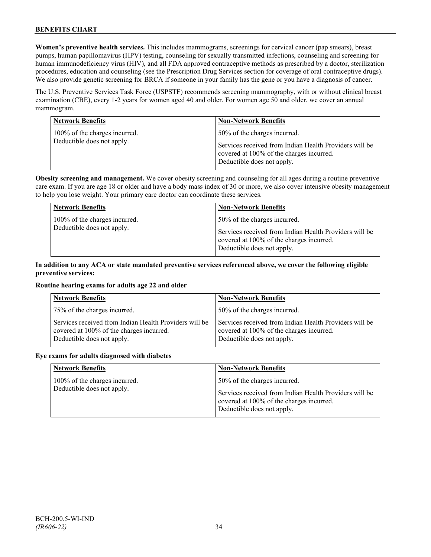**Women's preventive health services.** This includes mammograms, screenings for cervical cancer (pap smears), breast pumps, human papillomavirus (HPV) testing, counseling for sexually transmitted infections, counseling and screening for human immunodeficiency virus (HIV), and all FDA approved contraceptive methods as prescribed by a doctor, sterilization procedures, education and counseling (see the Prescription Drug Services section for coverage of oral contraceptive drugs). We also provide genetic screening for BRCA if someone in your family has the gene or you have a diagnosis of cancer.

The U.S. Preventive Services Task Force (USPSTF) recommends screening mammography, with or without clinical breast examination (CBE), every 1-2 years for women aged 40 and older. For women age 50 and older, we cover an annual mammogram.

| <b>Network Benefits</b>                                     | <b>Non-Network Benefits</b>                                                                                                                                      |
|-------------------------------------------------------------|------------------------------------------------------------------------------------------------------------------------------------------------------------------|
| 100% of the charges incurred.<br>Deductible does not apply. | 50% of the charges incurred.<br>Services received from Indian Health Providers will be<br>covered at 100% of the charges incurred.<br>Deductible does not apply. |

**Obesity screening and management.** We cover obesity screening and counseling for all ages during a routine preventive care exam. If you are age 18 or older and have a body mass index of 30 or more, we also cover intensive obesity management to help you lose weight. Your primary care doctor can coordinate these services.

| <b>Network Benefits</b>       | <b>Non-Network Benefits</b>                                                                                                      |
|-------------------------------|----------------------------------------------------------------------------------------------------------------------------------|
| 100% of the charges incurred. | 50% of the charges incurred.                                                                                                     |
| Deductible does not apply.    | Services received from Indian Health Providers will be<br>covered at 100% of the charges incurred.<br>Deductible does not apply. |

### **In addition to any ACA or state mandated preventive services referenced above, we cover the following eligible preventive services:**

### **Routine hearing exams for adults age 22 and older**

| <b>Network Benefits</b>                                                                                                          | <b>Non-Network Benefits</b>                                                                                                      |
|----------------------------------------------------------------------------------------------------------------------------------|----------------------------------------------------------------------------------------------------------------------------------|
| 75% of the charges incurred.                                                                                                     | 50% of the charges incurred.                                                                                                     |
| Services received from Indian Health Providers will be<br>covered at 100% of the charges incurred.<br>Deductible does not apply. | Services received from Indian Health Providers will be<br>covered at 100% of the charges incurred.<br>Deductible does not apply. |

#### **Eye exams for adults diagnosed with diabetes**

| <b>Network Benefits</b>                                     | <b>Non-Network Benefits</b>                                                                                                                                      |
|-------------------------------------------------------------|------------------------------------------------------------------------------------------------------------------------------------------------------------------|
| 100% of the charges incurred.<br>Deductible does not apply. | 50% of the charges incurred.<br>Services received from Indian Health Providers will be<br>covered at 100% of the charges incurred.<br>Deductible does not apply. |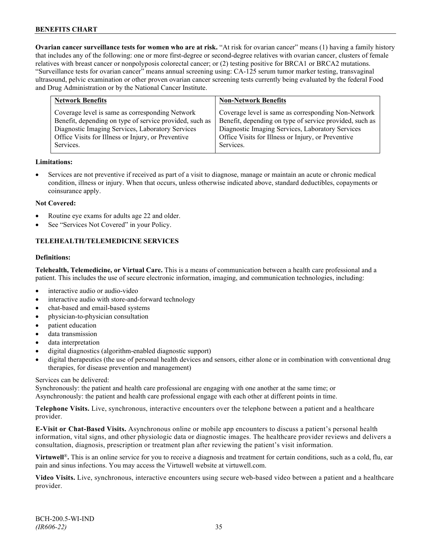**Ovarian cancer surveillance tests for women who are at risk.** "At risk for ovarian cancer" means (1) having a family history that includes any of the following: one or more first-degree or second-degree relatives with ovarian cancer, clusters of female relatives with breast cancer or nonpolyposis colorectal cancer; or (2) testing positive for BRCA1 or BRCA2 mutations. "Surveillance tests for ovarian cancer" means annual screening using: CA-125 serum tumor marker testing, transvaginal ultrasound, pelvic examination or other proven ovarian cancer screening tests currently being evaluated by the federal Food and Drug Administration or by the National Cancer Institute.

| <b>Network Benefits</b>                                                                                                                                                                                                           | <b>Non-Network Benefits</b>                                                                                                                                                                                                           |
|-----------------------------------------------------------------------------------------------------------------------------------------------------------------------------------------------------------------------------------|---------------------------------------------------------------------------------------------------------------------------------------------------------------------------------------------------------------------------------------|
| Coverage level is same as corresponding Network<br>Benefit, depending on type of service provided, such as<br>Diagnostic Imaging Services, Laboratory Services<br>Office Visits for Illness or Injury, or Preventive<br>Services. | Coverage level is same as corresponding Non-Network<br>Benefit, depending on type of service provided, such as<br>Diagnostic Imaging Services, Laboratory Services<br>Office Visits for Illness or Injury, or Preventive<br>Services. |
|                                                                                                                                                                                                                                   |                                                                                                                                                                                                                                       |

### **Limitations:**

• Services are not preventive if received as part of a visit to diagnose, manage or maintain an acute or chronic medical condition, illness or injury. When that occurs, unless otherwise indicated above, standard deductibles, copayments or coinsurance apply.

### **Not Covered:**

- Routine eye exams for adults age 22 and older.
- See "Services Not Covered" in your Policy.

### **TELEHEALTH/TELEMEDICINE SERVICES**

#### **Definitions:**

**Telehealth, Telemedicine, or Virtual Care.** This is a means of communication between a health care professional and a patient. This includes the use of secure electronic information, imaging, and communication technologies, including:

- interactive audio or audio-video
- interactive audio with store-and-forward technology
- chat-based and email-based systems
- physician-to-physician consultation
- patient education
- data transmission
- data interpretation
- digital diagnostics (algorithm-enabled diagnostic support)
- digital therapeutics (the use of personal health devices and sensors, either alone or in combination with conventional drug therapies, for disease prevention and management)

#### Services can be delivered:

Synchronously: the patient and health care professional are engaging with one another at the same time; or Asynchronously: the patient and health care professional engage with each other at different points in time.

**Telephone Visits.** Live, synchronous, interactive encounters over the telephone between a patient and a healthcare provider.

**E-Visit or Chat-Based Visits.** Asynchronous online or mobile app encounters to discuss a patient's personal health information, vital signs, and other physiologic data or diagnostic images. The healthcare provider reviews and delivers a consultation, diagnosis, prescription or treatment plan after reviewing the patient's visit information.

**Virtuwell<sup>®</sup>.** This is an online service for you to receive a diagnosis and treatment for certain conditions, such as a cold, flu, ear pain and sinus infections. You may access the Virtuwell website at [virtuwell.com.](https://www.virtuwell.com/)

**Video Visits.** Live, synchronous, interactive encounters using secure web-based video between a patient and a healthcare provider.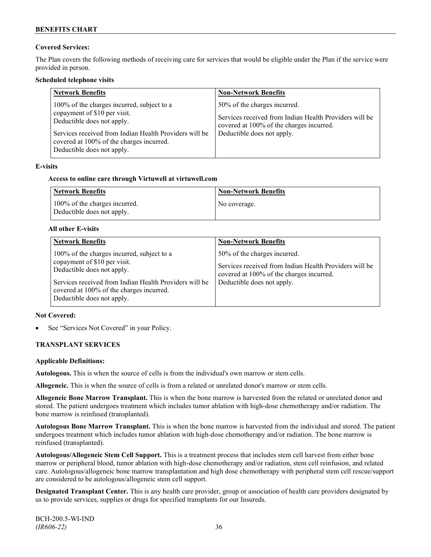### **Covered Services:**

The Plan covers the following methods of receiving care for services that would be eligible under the Plan if the service were provided in person.

### **Scheduled telephone visits**

| <b>Network Benefits</b>                                                                                                                                                                                                                      | <b>Non-Network Benefits</b>                                                                                                                                      |
|----------------------------------------------------------------------------------------------------------------------------------------------------------------------------------------------------------------------------------------------|------------------------------------------------------------------------------------------------------------------------------------------------------------------|
| 100% of the charges incurred, subject to a<br>copayment of \$10 per visit.<br>Deductible does not apply.<br>Services received from Indian Health Providers will be<br>covered at 100% of the charges incurred.<br>Deductible does not apply. | 50% of the charges incurred.<br>Services received from Indian Health Providers will be<br>covered at 100% of the charges incurred.<br>Deductible does not apply. |

### **E-visits**

### **Access to online care through Virtuwell at [virtuwell.com](http://www.virtuwell.com/)**

| <b>Network Benefits</b>                                     | <b>Non-Network Benefits</b> |
|-------------------------------------------------------------|-----------------------------|
| 100% of the charges incurred.<br>Deductible does not apply. | No coverage.                |

### **All other E-visits**

| <b>Network Benefits</b>                                                                                                                                                                                                                      | <b>Non-Network Benefits</b>                                                                                                                                      |
|----------------------------------------------------------------------------------------------------------------------------------------------------------------------------------------------------------------------------------------------|------------------------------------------------------------------------------------------------------------------------------------------------------------------|
| 100% of the charges incurred, subject to a<br>copayment of \$10 per visit.<br>Deductible does not apply.<br>Services received from Indian Health Providers will be<br>covered at 100% of the charges incurred.<br>Deductible does not apply. | 50% of the charges incurred.<br>Services received from Indian Health Providers will be<br>covered at 100% of the charges incurred.<br>Deductible does not apply. |

### **Not Covered:**

See "Services Not Covered" in your Policy.

### **TRANSPLANT SERVICES**

### **Applicable Definitions:**

**Autologous.** This is when the source of cells is from the individual's own marrow or stem cells.

**Allogeneic.** This is when the source of cells is from a related or unrelated donor's marrow or stem cells.

**Allogeneic Bone Marrow Transplant.** This is when the bone marrow is harvested from the related or unrelated donor and stored. The patient undergoes treatment which includes tumor ablation with high-dose chemotherapy and/or radiation. The bone marrow is reinfused (transplanted).

**Autologous Bone Marrow Transplant.** This is when the bone marrow is harvested from the individual and stored. The patient undergoes treatment which includes tumor ablation with high-dose chemotherapy and/or radiation. The bone marrow is reinfused (transplanted).

**Autologous/Allogeneic Stem Cell Support.** This is a treatment process that includes stem cell harvest from either bone marrow or peripheral blood, tumor ablation with high-dose chemotherapy and/or radiation, stem cell reinfusion, and related care. Autologous/allogeneic bone marrow transplantation and high dose chemotherapy with peripheral stem cell rescue/support are considered to be autologous/allogeneic stem cell support.

**Designated Transplant Center.** This is any health care provider, group or association of health care providers designated by us to provide services, supplies or drugs for specified transplants for our Insureds.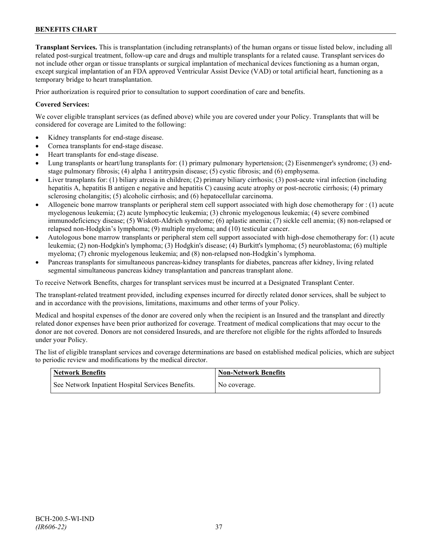**Transplant Services.** This is transplantation (including retransplants) of the human organs or tissue listed below, including all related post-surgical treatment, follow-up care and drugs and multiple transplants for a related cause. Transplant services do not include other organ or tissue transplants or surgical implantation of mechanical devices functioning as a human organ, except surgical implantation of an FDA approved Ventricular Assist Device (VAD) or total artificial heart, functioning as a temporary bridge to heart transplantation.

Prior authorization is required prior to consultation to support coordination of care and benefits.

### **Covered Services:**

We cover eligible transplant services (as defined above) while you are covered under your Policy. Transplants that will be considered for coverage are Limited to the following:

- Kidney transplants for end-stage disease.
- Cornea transplants for end-stage disease.
- Heart transplants for end-stage disease.
- Lung transplants or heart/lung transplants for: (1) primary pulmonary hypertension; (2) Eisenmenger's syndrome; (3) endstage pulmonary fibrosis; (4) alpha 1 antitrypsin disease; (5) cystic fibrosis; and (6) emphysema.
- Liver transplants for: (1) biliary atresia in children; (2) primary biliary cirrhosis; (3) post-acute viral infection (including hepatitis A, hepatitis B antigen e negative and hepatitis C) causing acute atrophy or post-necrotic cirrhosis; (4) primary sclerosing cholangitis; (5) alcoholic cirrhosis; and (6) hepatocellular carcinoma.
- Allogeneic bone marrow transplants or peripheral stem cell support associated with high dose chemotherapy for : (1) acute myelogenous leukemia; (2) acute lymphocytic leukemia; (3) chronic myelogenous leukemia; (4) severe combined immunodeficiency disease; (5) Wiskott-Aldrich syndrome; (6) aplastic anemia; (7) sickle cell anemia; (8) non-relapsed or relapsed non-Hodgkin's lymphoma; (9) multiple myeloma; and (10) testicular cancer.
- Autologous bone marrow transplants or peripheral stem cell support associated with high-dose chemotherapy for: (1) acute leukemia; (2) non-Hodgkin's lymphoma; (3) Hodgkin's disease; (4) Burkitt's lymphoma; (5) neuroblastoma; (6) multiple myeloma; (7) chronic myelogenous leukemia; and (8) non-relapsed non-Hodgkin's lymphoma.
- Pancreas transplants for simultaneous pancreas-kidney transplants for diabetes, pancreas after kidney, living related segmental simultaneous pancreas kidney transplantation and pancreas transplant alone.

To receive Network Benefits, charges for transplant services must be incurred at a Designated Transplant Center.

The transplant-related treatment provided, including expenses incurred for directly related donor services, shall be subject to and in accordance with the provisions, limitations, maximums and other terms of your Policy.

Medical and hospital expenses of the donor are covered only when the recipient is an Insured and the transplant and directly related donor expenses have been prior authorized for coverage. Treatment of medical complications that may occur to the donor are not covered. Donors are not considered Insureds, and are therefore not eligible for the rights afforded to Insureds under your Policy.

The list of eligible transplant services and coverage determinations are based on established medical policies, which are subject to periodic review and modifications by the medical director.

| <b>Network Benefits</b>                           | <b>Non-Network Benefits</b> |
|---------------------------------------------------|-----------------------------|
| See Network Inpatient Hospital Services Benefits. | No coverage.                |